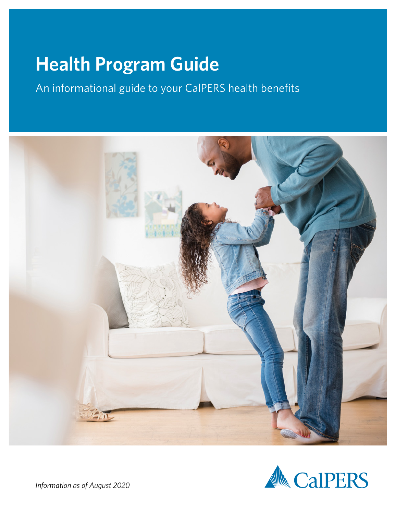# <span id="page-0-0"></span>**Health Program Guide**

An informational guide to your CalPERS health benefits





*Information as of August 2020*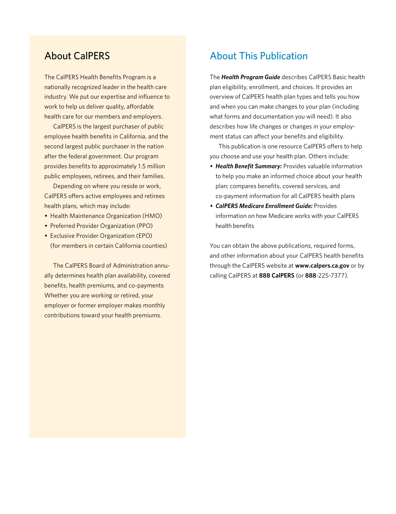## About CalPERS

The CalPERS Health Benefits Program is a nationally recognized leader in the health care industry. We put our expertise and influence to work to help us deliver quality, affordable health care for our members and employers.

CalPERS is the largest purchaser of public employee health benefits in California, and the second largest public purchaser in the nation after the federal government. Our program provides benefits to approximately 1.5 million public employees, retirees, and their families.

Depending on where you reside or work, CalPERS offers active employees and retirees health plans, which may include:

- Health Maintenance Organization (HMO)
- Preferred Provider Organization (PPO)
- Exclusive Provider Organization (EPO) (for members in certain California counties)

The CalPERS Board of Administration annually determines health plan availability, covered benefits, health premiums, and co-payments Whether you are working or retired, your employer or former employer makes monthly contributions toward your health premiums.

## About This Publication

The *Health Program Guide* describes CalPERS Basic health plan eligibility, enrollment, and choices. It provides an overview of CalPERS health plan types and tells you how and when you can make changes to your plan (including what forms and documentation you will need). It also describes how life changes or changes in your employment status can affect your benefits and eligibility.

This publication is one resource CalPERS offers to help you choose and use your health plan. Others include:

- *Health Benefit Summary:* Provides valuable information to help you make an informed choice about your health plan; compares benefits, covered services, and co-payment information for all CalPERS health plans
- *CalPERS Medicare Enrollment Guide:* Provides information on how Medicare works with your CalPERS health benefits

You can obtain the above publications, required forms, and other information about your CalPERS health benefits through the CalPERS website at **[www.calpers.ca.gov](http://www.calpers.ca.gov)** or by calling CalPERS at **888 CalPERS** (or **888**-225-7377).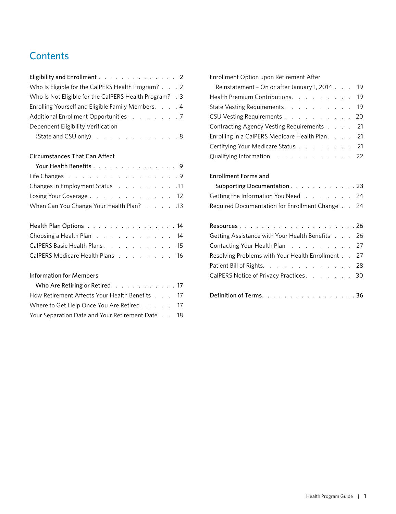## **Contents**

| Eligibility and Enrollment 2                            |  |
|---------------------------------------------------------|--|
| Who Is Eligible for the CalPERS Health Program? 2       |  |
| Who Is Not Eligible for the CalPERS Health Program? . 3 |  |
| Enrolling Yourself and Eligible Family Members. 4       |  |
| Additional Enrollment Opportunities 7                   |  |
| Dependent Eligibility Verification                      |  |
| (State and CSU only) 8                                  |  |

## [Circumstances That Can Affect](#page-10-0)

| Your Health Benefits 9                       |  |  |  |
|----------------------------------------------|--|--|--|
| Life Changes 9                               |  |  |  |
| Changes in Employment Status 11              |  |  |  |
| Losing Your Coverage 12                      |  |  |  |
| 13. Vhen Can You Change Your Health Plan? 13 |  |  |  |

| Health Plan Options 14           |  |  |  |  |  |
|----------------------------------|--|--|--|--|--|
| Choosing a Health Plan 14        |  |  |  |  |  |
| CalPERS Basic Health Plans 15    |  |  |  |  |  |
| CalPERS Medicare Health Plans 16 |  |  |  |  |  |

## [Information for Members](#page-18-0)

| Who Are Retiring or Retired 17                   |  |  |
|--------------------------------------------------|--|--|
| How Retirement Affects Your Health Benefits 17   |  |  |
| Where to Get Help Once You Are Retired. 17       |  |  |
| Your Separation Date and Your Retirement Date 18 |  |  |

[Enrollment Option upon Retirement After](#page-20-0) 

| Reinstatement - On or after January 1, 2014 19  |  |  |
|-------------------------------------------------|--|--|
| Health Premium Contributions. 19                |  |  |
| State Vesting Requirements. 19                  |  |  |
| CSU Vesting Requirements 20                     |  |  |
| Contracting Agency Vesting Requirements 21      |  |  |
| Enrolling in a CalPERS Medicare Health Plan. 21 |  |  |
| Certifying Your Medicare Status 21              |  |  |
| Qualifying Information 22                       |  |  |

## [Enrollment Forms and](#page-24-0)

| 11 | Supporting Documentation. 23                    |
|----|-------------------------------------------------|
| 12 | Getting the Information You Need 24             |
| 13 | Required Documentation for Enrollment Change 24 |

| Getting Assistance with Your Health Benefits 26   |  |  |
|---------------------------------------------------|--|--|
| Contacting Your Health Plan 27                    |  |  |
| Resolving Problems with Your Health Enrollment 27 |  |  |
| Patient Bill of Rights. 28                        |  |  |
| CalPERS Notice of Privacy Practices. 30           |  |  |
|                                                   |  |  |
| Definition of Terms. 36                           |  |  |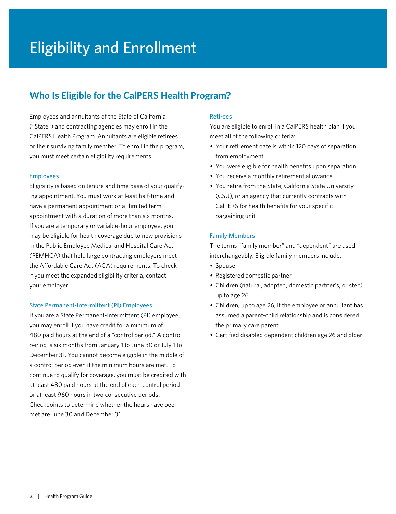## <span id="page-3-0"></span>**Who Is Eligible for the CalPERS Health Program?**

Employees and annuitants of the State of California ("State") and contracting agencies may enroll in the CalPERS Health Program. Annuitants are eligible retirees or their surviving family member. To enroll in the program, you must meet certain eligibility requirements.

### Employees

Eligibility is based on tenure and time base of your qualifying appointment. You must work at least half-time and have a permanent appointment or a "limited term" appointment with a duration of more than six months. If you are a temporary or variable-hour employee, you may be eligible for health coverage due to new provisions in the Public Employee Medical and Hospital Care Act (PEMHCA) that help large contracting employers meet the Affordable Care Act (ACA) requirements. To check if you meet the expanded eligibility criteria, contact your employer.

### State Permanent-Intermittent (PI) Employees

If you are a State Permanent-Intermittent (PI) employee, you may enroll if you have credit for a minimum of 480 paid hours at the end of a "control period." A control period is six months from January 1 to June 30 or July 1 to December 31. You cannot become eligible in the middle of a control period even if the minimum hours are met. To continue to qualify for coverage, you must be credited with at least 480 paid hours at the end of each control period or at least 960 hours in two consecutive periods. Checkpoints to determine whether the hours have been met are June 30 and December 31.

### Retirees

You are eligible to enroll in a CalPERS health plan if you meet all of the following criteria:

- Your retirement date is within 120 days of separation from employment
- You were eligible for health benefits upon separation
- You receive a monthly retirement allowance
- You retire from the State, California State University (CSU), or an agency that currently contracts with CalPERS for health benefits for your specific bargaining unit

### Family Members

The terms "family member" and "dependent" are used interchangeably. Eligible family members include:

- Spouse
- Registered domestic partner
- Children (natural, adopted, domestic partner's, or step) up to age 26
- Children, up to age 26, if the employee or annuitant has assumed a parent-child relationship and is considered the primary care parent
- Certified disabled dependent children age 26 and older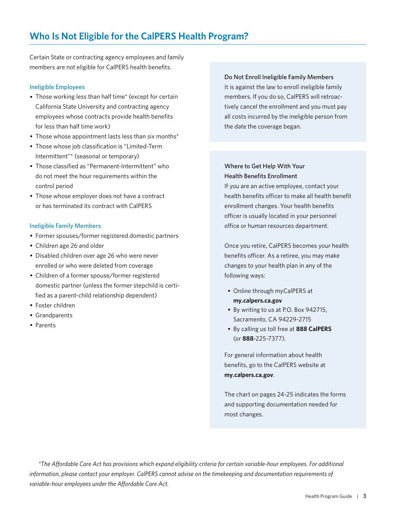## <span id="page-4-0"></span>**Who Is Not Eligible for the CalPERS Health Program?**

Certain State or contracting agency employees and family members are not eligible for CalPERS health benefits.

#### Ineligible Employees

- Those working less than half time\* (except for certain California State University and contracting agency employees whose contracts provide health benefits for less than half time work)
- Those whose appointment lasts less than six months\*
- Those whose job classification is "Limited-Term Intermittent"\* (seasonal or temporary)
- Those classified as "Permanent-Intermittent" who do not meet the hour requirements within the control period
- Those whose employer does not have a contract or has terminated its contract with CalPERS

#### Ineligible Family Members

- Former spouses/former registered domestic partners
- Children age 26 and older
- Disabled children over age 26 who were never enrolled or who were deleted from coverage
- Children of a former spouse/former registered domestic partner (unless the former stepchild is certified as a parent-child relationship dependent)
- Foster children
- Grandparents
- Parents

### Do Not Enroll Ineligible Family Members

It is against the law to enroll ineligible family members. If you do so, CalPERS will retroactively cancel the enrollment and you must pay all costs incurred by the ineligible person from the date the coverage began.

## Where to Get Help With Your Health Benefits Enrollment

If you are an active employee, contact your health benefits officer to make all health benefit enrollment changes. Your health benefits officer is usually located in your personnel office or human resources department.

Once you retire, CalPERS becomes your health benefits officer. As a retiree, you may make changes to your health plan in any of the following ways:

- Online through myCalPERS at **[my.calpers.ca.gov](http://my.calpers.ca.gov)**
- By writing to us at P.O. Box 942715, Sacramento, CA 94229-2715
- By calling us toll free at **888 CalPERS** (or **888**-225-7377).

For general information about health benefits, go to the CalPERS website at **[my.calpers.ca.gov](http://my.calpers.ca.gov)**.

The chart on pages 24-25 indicates the forms and supporting documentation needed for most changes.

*\*The Affordable Care Act has provisions which expand eligibility criteria for certain variable-hour employees. For additional information, please contact your employer. CalPERS cannot advise on the timekeeping and documentation requirements of variable-hour employees under the Affordable Care Act.*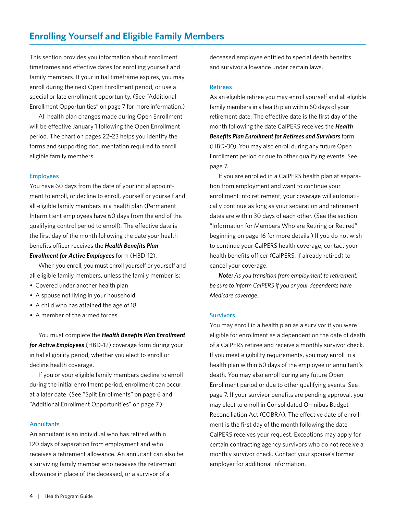<span id="page-5-0"></span>This section provides you information about enrollment timeframes and effective dates for enrolling yourself and family members. If your initial timeframe expires, you may enroll during the next Open Enrollment period, or use a special or late enrollment opportunity. (See "Additional Enrollment Opportunities" on page 7 for more information.)

All health plan changes made during Open Enrollment will be effective January 1 following the Open Enrollment period. The chart on pages 22–23 helps you identify the forms and supporting documentation required to enroll eligible family members.

### Employees

You have 60 days from the date of your initial appointment to enroll, or decline to enroll, yourself or yourself and all eligible family members in a health plan (Permanent Intermittent employees have 60 days from the end of the qualifying control period to enroll). The effective date is the first day of the month following the date your health benefits officer receives the *Health Benefits Plan Enrollment for Active Employees* form (HBD-12).

When you enroll, you must enroll yourself or yourself and all eligible family members, unless the family member is:

- Covered under another health plan
- A spouse not living in your household
- A child who has attained the age of 18
- A member of the armed forces

You must complete the *Health Benefits Plan Enrollment for Active Employees* (HBD-12) coverage form during your initial eligibility period, whether you elect to enroll or decline health coverage.

If you or your eligible family members decline to enroll during the initial enrollment period, enrollment can occur at a later date. (See "Split Enrollments" on page 6 and "Additional Enrollment Opportunities" on page 7.)

### **Annuitants**

An annuitant is an individual who has retired within 120 days of separation from employment and who receives a retirement allowance. An annuitant can also be a surviving family member who receives the retirement allowance in place of the deceased, or a survivor of a

deceased employee entitled to special death benefits and survivor allowance under certain laws.

### **Retirees**

As an eligible retiree you may enroll yourself and all eligible family members in a health plan within 60 days of your retirement date. The effective date is the first day of the month following the date CalPERS receives the *Health Benefits Plan Enrollment for Retirees and Survivors* form (HBD-30). You may also enroll during any future Open Enrollment period or due to other qualifying events. See page 7.

If you are enrolled in a CalPERS health plan at separation from employment and want to continue your enrollment into retirement, your coverage will automatically continue as long as your separation and retirement dates are within 30 days of each other. (See the section "Information for Members Who are Retiring or Retired" beginning on page 16 for more details.) If you do not wish to continue your CalPERS health coverage, contact your health benefits officer (CalPERS, if already retired) to cancel your coverage.

*Note: As you transition from employment to retirement, be sure to inform CalPERS if you or your dependents have Medicare coverage.*

### **Survivors**

You may enroll in a health plan as a survivor if you were eligible for enrollment as a dependent on the date of death of a CalPERS retiree and receive a monthly survivor check. If you meet eligibility requirements, you may enroll in a health plan within 60 days of the employee or annuitant's death. You may also enroll during any future Open Enrollment period or due to other qualifying events. See page 7. If your survivor benefits are pending approval, you may elect to enroll in Consolidated Omnibus Budget Reconciliation Act (COBRA). The effective date of enrollment is the first day of the month following the date CalPERS receives your request. Exceptions may apply for certain contracting agency survivors who do not receive a monthly survivor check. Contact your spouse's former employer for additional information.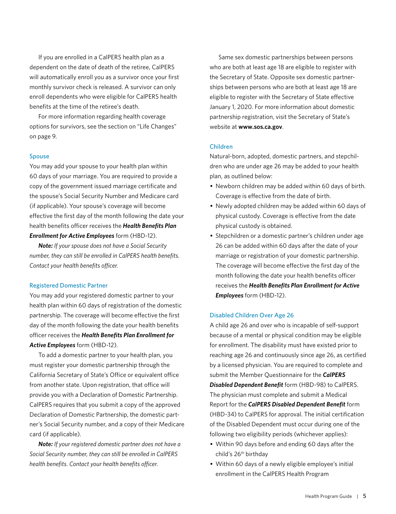If you are enrolled in a CalPERS health plan as a dependent on the date of death of the retiree, CalPERS will automatically enroll you as a survivor once your first monthly survivor check is released. A survivor can only enroll dependents who were eligible for CalPERS health benefits at the time of the retiree's death.

For more information regarding health coverage options for survivors, see the section on "Life Changes" on page 9.

#### Spouse

You may add your spouse to your health plan within 60 days of your marriage. You are required to provide a copy of the government issued marriage certificate and the spouse's Social Security Number and Medicare card (if applicable). Your spouse's coverage will become effective the first day of the month following the date your health benefits officer receives the *Health Benefits Plan Enrollment for Active Employees* form (HBD-12).

*Note: If your spouse does not have a Social Security number, they can still be enrolled in CalPERS health benefits. Contact your health benefits officer.*

#### Registered Domestic Partner

You may add your registered domestic partner to your health plan within 60 days of registration of the domestic partnership. The coverage will become effective the first day of the month following the date your health benefits officer receives the *Health Benefits Plan Enrollment for Active Employees* form (HBD-12).

To add a domestic partner to your health plan, you must register your domestic partnership through the California Secretary of State's Office or equivalent office from another state. Upon registration, that office will provide you with a Declaration of Domestic Partnership. CalPERS requires that you submit a copy of the approved Declaration of Domestic Partnership, the domestic partner's Social Security number, and a copy of their Medicare card (if applicable).

*Note: If your registered domestic partner does not have a Social Security number, they can still be enrolled in CalPERS health benefits. Contact your health benefits officer.*

Same sex domestic partnerships between persons who are both at least age 18 are eligible to register with the Secretary of State. Opposite sex domestic partnerships between persons who are both at least age 18 are eligible to register with the Secretary of State effective January 1, 2020. For more information about domestic partnership registration, visit the Secretary of State's website at **[www.sos.ca.gov](http://www.sos.ca.gov)**.

#### Children

Natural-born, adopted, domestic partners, and stepchildren who are under age 26 may be added to your health plan, as outlined below:

- Newborn children may be added within 60 days of birth. Coverage is effective from the date of birth.
- Newly adopted children may be added within 60 days of physical custody. Coverage is effective from the date physical custody is obtained.
- Stepchildren or a domestic partner's children under age 26 can be added within 60 days after the date of your marriage or registration of your domestic partnership. The coverage will become effective the first day of the month following the date your health benefits officer receives the *Health Benefits Plan Enrollment for Active Employees* form (HBD-12).

#### Disabled Children Over Age 26

A child age 26 and over who is incapable of self-support because of a mental or physical condition may be eligible for enrollment. The disability must have existed prior to reaching age 26 and continuously since age 26, as certified by a licensed physician. You are required to complete and submit the Member Questionnaire for the *CalPERS Disabled Dependent Benefit* form (HBD-98) to CalPERS. The physician must complete and submit a Medical Report for the *CalPERS Disabled Dependent Benefit* form (HBD-34) to CalPERS for approval. The initial certification of the Disabled Dependent must occur during one of the following two eligibility periods (whichever applies):

- Within 90 days before and ending 60 days after the child's 26<sup>th</sup> birthday
- Within 60 days of a newly eligible employee's initial enrollment in the CalPERS Health Program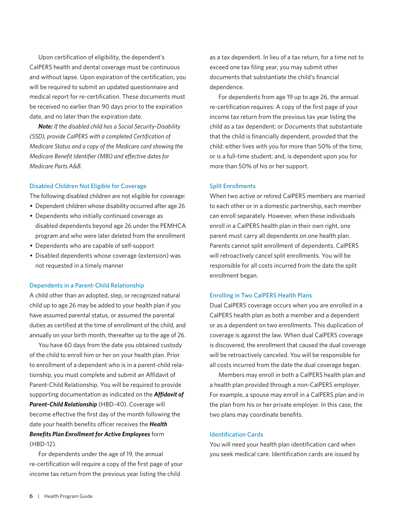Upon certification of eligibility, the dependent's CalPERS health and dental coverage must be continuous and without lapse. Upon expiration of the certification, you will be required to submit an updated questionnaire and medical report for re-certification. These documents must be received no earlier than 90 days prior to the expiration date, and no later than the expiration date.

*Note: If the disabled child has a Social Security-Disability (SSD), provide CalPERS with a completed Certification of Medicare Status and a copy of the Medicare card showing the Medicare Benefit Identifier (MBI) and effective dates for Medicare Parts A&B.*

#### Disabled Children Not Eligible for Coverage

The following disabled children are not eligible for coverage:

- Dependent children whose disability occurred after age 26
- Dependents who initially continued coverage as disabled dependents beyond age 26 under the PEMHCA program and who were later deleted from the enrollment
- Dependents who are capable of self-support
- Disabled dependents whose coverage (extension) was not requested in a timely manner

#### Dependents in a Parent-Child Relationship

A child other than an adopted, step, or recognized natural child up to age 26 may be added to your health plan if you have assumed parental status, or assumed the parental duties as certified at the time of enrollment of the child, and annually on your birth month, thereafter up to the age of 26.

You have 60 days from the date you obtained custody of the child to enroll him or her on your health plan. Prior to enrollment of a dependent who is in a parent-child relationship, you must complete and submit an Affidavit of Parent-Child Relationship. You will be required to provide supporting documentation as indicated on the *Affidavit of Parent-Child Relationship* (HBD-40). Coverage will become effective the first day of the month following the date your health benefits officer receives the *Health Benefits Plan Enrollment for Active Employees* form (HBD-12).

For dependents under the age of 19, the annual re-certification will require a copy of the first page of your income tax return from the previous year listing the child

as a tax dependent. In lieu of a tax return, for a time not to exceed one tax filing year, you may submit other documents that substantiate the child's financial dependence.

For dependents from age 19 up to age 26, the annual re-certification requires: A copy of the first page of your income tax return from the previous tax year listing the child as a tax dependent; or Documents that substantiate that the child is financially dependent, provided that the child: either lives with you for more than 50% of the time, or is a full-time student; and, is dependent upon you for more than 50% of his or her support.

#### Split Enrollments

When two active or retired CalPERS members are married to each other or in a domestic partnership, each member can enroll separately. However, when these individuals enroll in a CalPERS health plan in their own right, one parent must carry all dependents on one health plan. Parents cannot split enrollment of dependents. CalPERS will retroactively cancel split enrollments. You will be responsible for all costs incurred from the date the split enrollment began.

#### Enrolling in Two CalPERS Health Plans

Dual CalPERS coverage occurs when you are enrolled in a CalPERS health plan as both a member and a dependent or as a dependent on two enrollments. This duplication of coverage is against the law. When dual CalPERS coverage is discovered, the enrollment that caused the dual coverage will be retroactively canceled. You will be responsible for all costs incurred from the date the dual coverage began.

Members may enroll in both a CalPERS health plan and a health plan provided through a non-CalPERS employer. For example, a spouse may enroll in a CalPERS plan and in the plan from his or her private employer. In this case, the two plans may coordinate benefits.

#### Identification Cards

You will need your health plan identification card when you seek medical care. Identification cards are issued by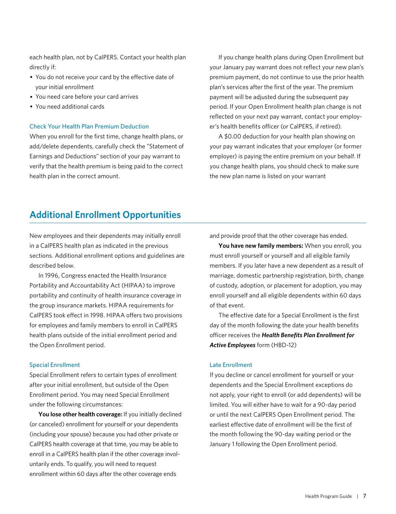each health plan, not by CalPERS. Contact your health plan directly if:

- You do not receive your card by the effective date of your initial enrollment
- You need care before your card arrives
- You need additional cards

#### Check Your Health Plan Premium Deduction

When you enroll for the first time, change health plans, or add/delete dependents, carefully check the "Statement of Earnings and Deductions" section of your pay warrant to verify that the health premium is being paid to the correct health plan in the correct amount.

If you change health plans during Open Enrollment but your January pay warrant does not reflect your new plan's premium payment, do not continue to use the prior health plan's services after the first of the year. The premium payment will be adjusted during the subsequent pay period. If your Open Enrollment health plan change is not reflected on your next pay warrant, contact your employer's health benefits officer (or CalPERS, if retired).

A \$0.00 deduction for your health plan showing on your pay warrant indicates that your employer (or former employer) is paying the entire premium on your behalf. If you change health plans, you should check to make sure the new plan name is listed on your warrant

## **Additional Enrollment Opportunities**

New employees and their dependents may initially enroll in a CalPERS health plan as indicated in the previous sections. Additional enrollment options and guidelines are described below.

In 1996, Congress enacted the Health Insurance Portability and Accountability Act (HIPAA) to improve portability and continuity of health insurance coverage in the group insurance markets. HIPAA requirements for CalPERS took effect in 1998. HIPAA offers two provisions for employees and family members to enroll in CalPERS health plans outside of the initial enrollment period and the Open Enrollment period.

#### Special Enrollment

Special Enrollment refers to certain types of enrollment after your initial enrollment, but outside of the Open Enrollment period. You may need Special Enrollment under the following circumstances:

**You lose other health coverage:** If you initially declined (or canceled) enrollment for yourself or your dependents (including your spouse) because you had other private or CalPERS health coverage at that time, you may be able to enroll in a CalPERS health plan if the other coverage involuntarily ends. To qualify, you will need to request enrollment within 60 days after the other coverage ends

and provide proof that the other coverage has ended.

**You have new family members:** When you enroll, you must enroll yourself or yourself and all eligible family members. If you later have a new dependent as a result of marriage, domestic partnership registration, birth, change of custody, adoption, or placement for adoption, you may enroll yourself and all eligible dependents within 60 days of that event.

The effective date for a Special Enrollment is the first day of the month following the date your health benefits officer receives the *Health Benefits Plan Enrollment for Active Employees* form (HBD-12)

#### Late Enrollment

If you decline or cancel enrollment for yourself or your dependents and the Special Enrollment exceptions do not apply, your right to enroll (or add dependents) will be limited. You will either have to wait for a 90-day period or until the next CalPERS Open Enrollment period. The earliest effective date of enrollment will be the first of the month following the 90-day waiting period or the January 1 following the Open Enrollment period.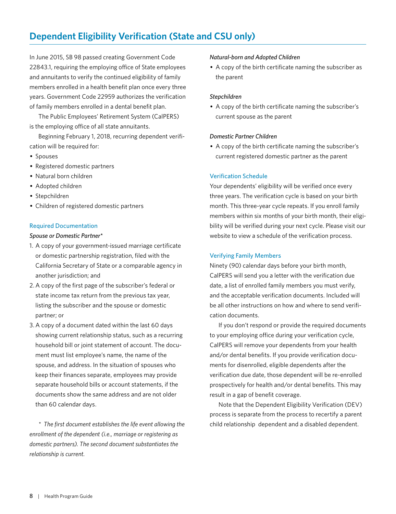## <span id="page-9-0"></span>**Dependent Eligibility Verification (State and CSU only)**

In June 2015, SB 98 passed creating Government Code 22843.1, requiring the employing office of State employees and annuitants to verify the continued eligibility of family members enrolled in a health benefit plan once every three years. Government Code 22959 authorizes the verification of family members enrolled in a dental benefit plan.

The Public Employees' Retirement System (CalPERS) is the employing office of all state annuitants.

Beginning February 1, 2018, recurring dependent verification will be required for:

- Spouses
- Registered domestic partners
- Natural born children
- Adopted children
- Stepchildren
- Children of registered domestic partners

### Required Documentation

### *Spouse or Domestic Partner\**

- 1. A copy of your government-issued marriage certificate or domestic partnership registration, filed with the California Secretary of State or a comparable agency in another jurisdiction; and
- 2. A copy of the first page of the subscriber's federal or state income tax return from the previous tax year, listing the subscriber and the spouse or domestic partner; or
- 3. A copy of a document dated within the last 60 days showing current relationship status, such as a recurring household bill or joint statement of account. The document must list employee's name, the name of the spouse, and address. In the situation of spouses who keep their finances separate, employees may provide separate household bills or account statements, if the documents show the same address and are not older than 60 calendar days.

*\* The first document establishes the life event allowing the enrollment of the dependent (i.e., marriage or registering as domestic partners). The second document substantiates the relationship is current.*

#### *Natural-born and Adopted Children*

• A copy of the birth certificate naming the subscriber as the parent

#### *Stepchildren*

• A copy of the birth certificate naming the subscriber's current spouse as the parent

### *Domestic Partner Children*

• A copy of the birth certificate naming the subscriber's current registered domestic partner as the parent

### Verification Schedule

Your dependents' eligibility will be verified once every three years. The verification cycle is based on your birth month. This three-year cycle repeats. If you enroll family members within six months of your birth month, their eligibility will be verified during your next cycle. Please visit our website to view a schedule of the verification process.

### Verifying Family Members

Ninety (90) calendar days before your birth month, CalPERS will send you a letter with the verification due date, a list of enrolled family members you must verify, and the acceptable verification documents. Included will be all other instructions on how and where to send verification documents.

If you don't respond or provide the required documents to your employing office during your verification cycle, CalPERS will remove your dependents from your health and/or dental benefits. If you provide verification documents for disenrolled, eligible dependents after the verification due date, those dependent will be re-enrolled prospectively for health and/or dental benefits. This may result in a gap of benefit coverage.

Note that the Dependent Eligibility Verification (DEV) process is separate from the process to recertify a parent child relationship dependent and a disabled dependent.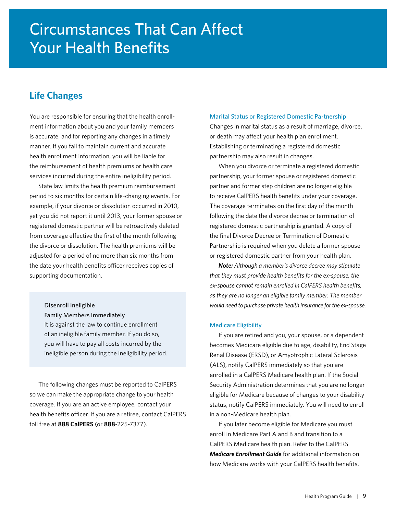## <span id="page-10-0"></span>**Life Changes**

You are responsible for ensuring that the health enrollment information about you and your family members is accurate, and for reporting any changes in a timely manner. If you fail to maintain current and accurate health enrollment information, you will be liable for the reimbursement of health premiums or health care services incurred during the entire ineligibility period.

State law limits the health premium reimbursement period to six months for certain life-changing events. For example, if your divorce or dissolution occurred in 2010, yet you did not report it until 2013, your former spouse or registered domestic partner will be retroactively deleted from coverage effective the first of the month following the divorce or dissolution. The health premiums will be adjusted for a period of no more than six months from the date your health benefits officer receives copies of supporting documentation.

#### Disenroll Ineligible

#### Family Members Immediately

It is against the law to continue enrollment of an ineligible family member. If you do so, you will have to pay all costs incurred by the ineligible person during the ineligibility period.

The following changes must be reported to CalPERS so we can make the appropriate change to your health coverage. If you are an active employee, contact your health benefits officer. If you are a retiree, contact CalPERS toll free at **888 CalPERS** (or **888**-225-7377).

#### Marital Status or Registered Domestic Partnership

Changes in marital status as a result of marriage, divorce, or death may affect your health plan enrollment. Establishing or terminating a registered domestic partnership may also result in changes.

When you divorce or terminate a registered domestic partnership, your former spouse or registered domestic partner and former step children are no longer eligible to receive CalPERS health benefits under your coverage. The coverage terminates on the first day of the month following the date the divorce decree or termination of registered domestic partnership is granted. A copy of the final Divorce Decree or Termination of Domestic Partnership is required when you delete a former spouse or registered domestic partner from your health plan.

*Note: Although a member's divorce decree may stipulate that they must provide health benefits for the ex-spouse, the ex-spouse cannot remain enrolled in CalPERS health benefits, as they are no longer an eligible family member. The member would need to purchase private health insurance for the ex-spouse.*

#### Medicare Eligibility

If you are retired and you, your spouse, or a dependent becomes Medicare eligible due to age, disability, End Stage Renal Disease (ERSD), or Amyotrophic Lateral Sclerosis (ALS), notify CalPERS immediately so that you are enrolled in a CalPERS Medicare health plan. If the Social Security Administration determines that you are no longer eligible for Medicare because of changes to your disability status, notify CalPERS immediately. You will need to enroll in a non-Medicare health plan.

If you later become eligible for Medicare you must enroll in Medicare Part A and B and transition to a CalPERS Medicare health plan. Refer to the CalPERS *Medicare Enrollment Guide* for additional information on how Medicare works with your CalPERS health benefits.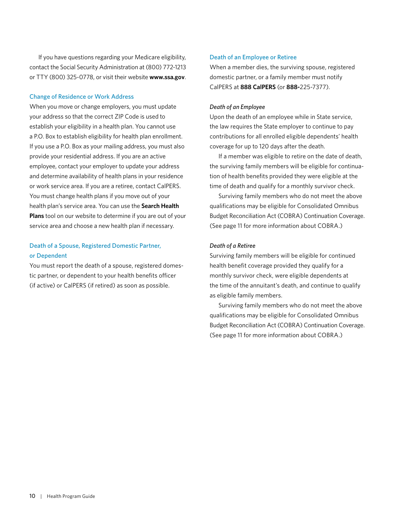If you have questions regarding your Medicare eligibility, contact the Social Security Administration at (800) 772-1213 or TTY (800) 325-0778, or visit their website **[www.ssa.gov](http://www.ssa.gov)**.

#### Change of Residence or Work Address

When you move or change employers, you must update your address so that the correct ZIP Code is used to establish your eligibility in a health plan. You cannot use a P.O. Box to establish eligibility for health plan enrollment. If you use a P.O. Box as your mailing address, you must also provide your residential address. If you are an active employee, contact your employer to update your address and determine availability of health plans in your residence or work service area. If you are a retiree, contact CalPERS. You must change health plans if you move out of your health plan's service area. You can use the **Search Health Plans** tool on our website to determine if you are out of your service area and choose a new health plan if necessary.

## Death of a Spouse, Registered Domestic Partner, or Dependent

You must report the death of a spouse, registered domestic partner, or dependent to your health benefits officer (if active) or CalPERS (if retired) as soon as possible.

### Death of an Employee or Retiree

When a member dies, the surviving spouse, registered domestic partner, or a family member must notify CalPERS at **888 CalPERS** (or **888-**225-7377).

#### *Death of an Employee*

Upon the death of an employee while in State service, the law requires the State employer to continue to pay contributions for all enrolled eligible dependents' health coverage for up to 120 days after the death.

If a member was eligible to retire on the date of death, the surviving family members will be eligible for continuation of health benefits provided they were eligible at the time of death and qualify for a monthly survivor check.

Surviving family members who do not meet the above qualifications may be eligible for Consolidated Omnibus Budget Reconciliation Act (COBRA) Continuation Coverage. (See page 11 for more information about COBRA.)

#### *Death of a Retiree*

Surviving family members will be eligible for continued health benefit coverage provided they qualify for a monthly survivor check, were eligible dependents at the time of the annuitant's death, and continue to qualify as eligible family members.

Surviving family members who do not meet the above qualifications may be eligible for Consolidated Omnibus Budget Reconciliation Act (COBRA) Continuation Coverage. (See page 11 for more information about COBRA.)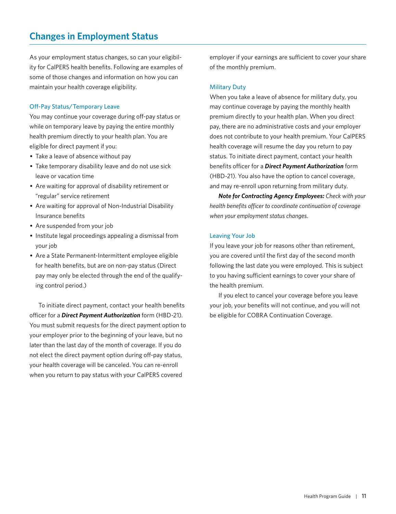## <span id="page-12-0"></span>**Changes in Employment Status**

As your employment status changes, so can your eligibility for CalPERS health benefits. Following are examples of some of those changes and information on how you can maintain your health coverage eligibility.

### Off-Pay Status/Temporary Leave

You may continue your coverage during off-pay status or while on temporary leave by paying the entire monthly health premium directly to your health plan. You are eligible for direct payment if you:

- Take a leave of absence without pay
- Take temporary disability leave and do not use sick leave or vacation time
- Are waiting for approval of disability retirement or "regular" service retirement
- Are waiting for approval of Non-Industrial Disability Insurance benefits
- Are suspended from your job
- Institute legal proceedings appealing a dismissal from your job
- Are a State Permanent-Intermittent employee eligible for health benefits, but are on non-pay status (Direct pay may only be elected through the end of the qualifying control period.)

To initiate direct payment, contact your health benefits officer for a *Direct Payment Authorization* form (HBD-21). You must submit requests for the direct payment option to your employer prior to the beginning of your leave, but no later than the last day of the month of coverage. If you do not elect the direct payment option during off-pay status, your health coverage will be canceled. You can re-enroll when you return to pay status with your CalPERS covered

employer if your earnings are sufficient to cover your share of the monthly premium.

### Military Duty

When you take a leave of absence for military duty, you may continue coverage by paying the monthly health premium directly to your health plan. When you direct pay, there are no administrative costs and your employer does not contribute to your health premium. Your CalPERS health coverage will resume the day you return to pay status. To initiate direct payment, contact your health benefits officer for a *Direct Payment Authorization* form (HBD-21). You also have the option to cancel coverage, and may re-enroll upon returning from military duty.

*Note for Contracting Agency Employees: Check with your health benefits officer to coordinate continuation of coverage when your employment status changes.*

#### Leaving Your Job

If you leave your job for reasons other than retirement, you are covered until the first day of the second month following the last date you were employed. This is subject to you having sufficient earnings to cover your share of the health premium.

If you elect to cancel your coverage before you leave your job, your benefits will not continue, and you will not be eligible for COBRA Continuation Coverage.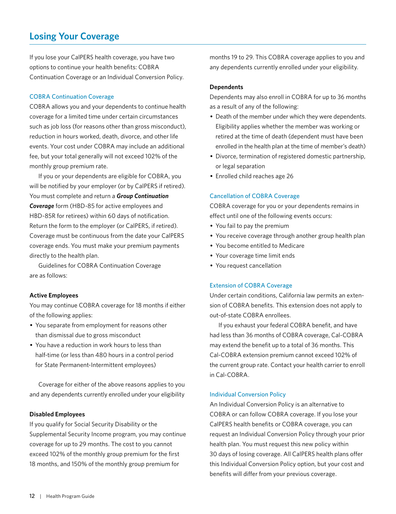## <span id="page-13-0"></span>**Losing Your Coverage**

If you lose your CalPERS health coverage, you have two options to continue your health benefits: COBRA Continuation Coverage or an Individual Conversion Policy.

#### COBRA Continuation Coverage

COBRA allows you and your dependents to continue health coverage for a limited time under certain circumstances such as job loss (for reasons other than gross misconduct), reduction in hours worked, death, divorce, and other life events. Your cost under COBRA may include an additional fee, but your total generally will not exceed 102% of the monthly group premium rate.

If you or your dependents are eligible for COBRA, you will be notified by your employer (or by CalPERS if retired). You must complete and return a *Group Continuation Coverage* form (HBD-85 for active employees and HBD-85R for retirees) within 60 days of notification. Return the form to the employer (or CalPERS, if retired). Coverage must be continuous from the date your CalPERS coverage ends. You must make your premium payments directly to the health plan.

Guidelines for COBRA Continuation Coverage are as follows:

#### **Active Employees**

You may continue COBRA coverage for 18 months if either of the following applies:

- You separate from employment for reasons other than dismissal due to gross misconduct
- You have a reduction in work hours to less than half-time (or less than 480 hours in a control period for State Permanent-Intermittent employees)

Coverage for either of the above reasons applies to you and any dependents currently enrolled under your eligibility

#### **Disabled Employees**

If you qualify for Social Security Disability or the Supplemental Security Income program, you may continue coverage for up to 29 months. The cost to you cannot exceed 102% of the monthly group premium for the first 18 months, and 150% of the monthly group premium for

months 19 to 29. This COBRA coverage applies to you and any dependents currently enrolled under your eligibility.

#### **Dependents**

Dependents may also enroll in COBRA for up to 36 months as a result of any of the following:

- Death of the member under which they were dependents. Eligibility applies whether the member was working or retired at the time of death (dependent must have been enrolled in the health plan at the time of member's death)
- Divorce, termination of registered domestic partnership, or legal separation
- Enrolled child reaches age 26

#### Cancellation of COBRA Coverage

COBRA coverage for you or your dependents remains in effect until one of the following events occurs:

- You fail to pay the premium
- You receive coverage through another group health plan
- You become entitled to Medicare
- Your coverage time limit ends
- You request cancellation

#### Extension of COBRA Coverage

Under certain conditions, California law permits an extension of COBRA benefits. This extension does not apply to out-of-state COBRA enrollees.

If you exhaust your federal COBRA benefit, and have had less than 36 months of COBRA coverage, Cal-COBRA may extend the benefit up to a total of 36 months. This Cal-COBRA extension premium cannot exceed 102% of the current group rate. Contact your health carrier to enroll in Cal-COBRA.

#### Individual Conversion Policy

An Individual Conversion Policy is an alternative to COBRA or can follow COBRA coverage. If you lose your CalPERS health benefits or COBRA coverage, you can request an Individual Conversion Policy through your prior health plan. You must request this new policy within 30 days of losing coverage. All CalPERS health plans offer this Individual Conversion Policy option, but your cost and benefits will differ from your previous coverage.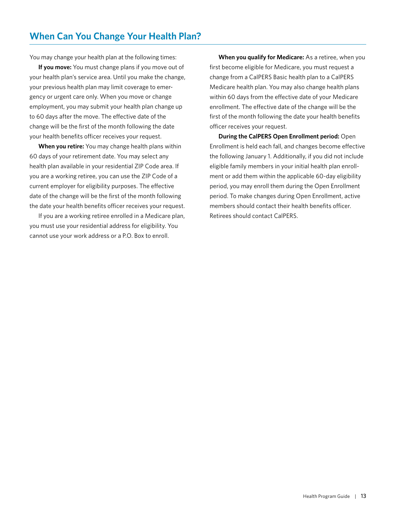<span id="page-14-0"></span>You may change your health plan at the following times:

**If you move:** You must change plans if you move out of your health plan's service area. Until you make the change, your previous health plan may limit coverage to emergency or urgent care only. When you move or change employment, you may submit your health plan change up to 60 days after the move. The effective date of the change will be the first of the month following the date your health benefits officer receives your request.

**When you retire:** You may change health plans within 60 days of your retirement date. You may select any health plan available in your residential ZIP Code area. If you are a working retiree, you can use the ZIP Code of a current employer for eligibility purposes. The effective date of the change will be the first of the month following the date your health benefits officer receives your request.

If you are a working retiree enrolled in a Medicare plan, you must use your residential address for eligibility. You cannot use your work address or a P.O. Box to enroll.

**When you qualify for Medicare:** As a retiree, when you first become eligible for Medicare, you must request a change from a CalPERS Basic health plan to a CalPERS Medicare health plan. You may also change health plans within 60 days from the effective date of your Medicare enrollment. The effective date of the change will be the first of the month following the date your health benefits officer receives your request.

**During the CalPERS Open Enrollment period:** Open Enrollment is held each fall, and changes become effective the following January 1. Additionally, if you did not include eligible family members in your initial health plan enrollment or add them within the applicable 60-day eligibility period, you may enroll them during the Open Enrollment period. To make changes during Open Enrollment, active members should contact their health benefits officer. Retirees should contact CalPERS.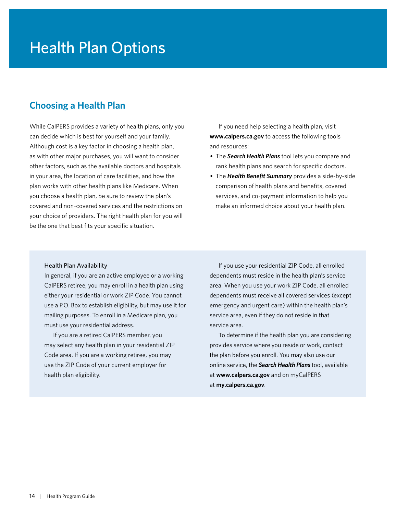# <span id="page-15-0"></span>Health Plan Options

## **Choosing a Health Plan**

While CalPERS provides a variety of health plans, only you can decide which is best for yourself and your family. Although cost is a key factor in choosing a health plan, as with other major purchases, you will want to consider other factors, such as the available doctors and hospitals in your area, the location of care facilities, and how the plan works with other health plans like Medicare. When you choose a health plan, be sure to review the plan's covered and non-covered services and the restrictions on your choice of providers. The right health plan for you will be the one that best fits your specific situation.

If you need help selecting a health plan, visit **[www.calpers.ca.gov](http://www.calpers.ca.gov)** to access the following tools and resources:

- The *Search Health Plans* tool lets you compare and rank health plans and search for specific doctors.
- The *Health Benefit Summary* provides a side-by-side comparison of health plans and benefits, covered services, and co-payment information to help you make an informed choice about your health plan.

#### Health Plan Availability

In general, if you are an active employee or a working CalPERS retiree, you may enroll in a health plan using either your residential or work ZIP Code. You cannot use a P.O. Box to establish eligibility, but may use it for mailing purposes. To enroll in a Medicare plan, you must use your residential address.

If you are a retired CalPERS member, you may select any health plan in your residential ZIP Code area. If you are a working retiree, you may use the ZIP Code of your current employer for health plan eligibility.

If you use your residential ZIP Code, all enrolled dependents must reside in the health plan's service area. When you use your work ZIP Code, all enrolled dependents must receive all covered services (except emergency and urgent care) within the health plan's service area, even if they do not reside in that service area.

To determine if the health plan you are considering provides service where you reside or work, contact the plan before you enroll. You may also use our online service, the *Search Health Plans* tool, available at **[www.calpers.ca.gov](http://www.calpers.ca.gov)** and on myCalPERS at **[my.calpers.ca.gov](http://my.calpers.ca.gov)**.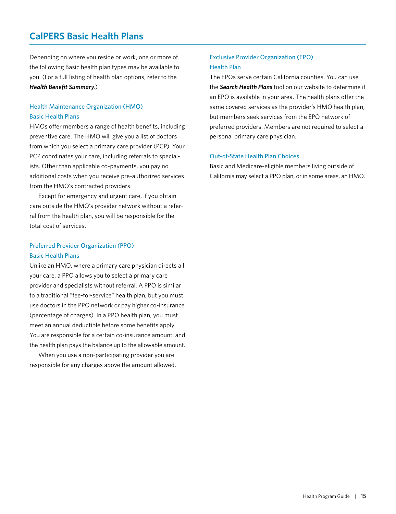## <span id="page-16-0"></span>**CalPERS Basic Health Plans**

Depending on where you reside or work, one or more of the following Basic health plan types may be available to you. (For a full listing of health plan options, refer to the *Health Benefit Summary*.)

## Health Maintenance Organization (HMO) Basic Health Plans

HMOs offer members a range of health benefits, including preventive care. The HMO will give you a list of doctors from which you select a primary care provider (PCP). Your PCP coordinates your care, including referrals to specialists. Other than applicable co-payments, you pay no additional costs when you receive pre-authorized services from the HMO's contracted providers.

Except for emergency and urgent care, if you obtain care outside the HMO's provider network without a referral from the health plan, you will be responsible for the total cost of services.

## Preferred Provider Organization (PPO) Basic Health Plans

Unlike an HMO, where a primary care physician directs all your care, a PPO allows you to select a primary care provider and specialists without referral. A PPO is similar to a traditional "fee-for-service" health plan, but you must use doctors in the PPO network or pay higher co-insurance (percentage of charges). In a PPO health plan, you must meet an annual deductible before some benefits apply. You are responsible for a certain co-insurance amount, and the health plan pays the balance up to the allowable amount.

When you use a non-participating provider you are responsible for any charges above the amount allowed.

## Exclusive Provider Organization (EPO) Health Plan

The EPOs serve certain California counties. You can use the *Search Health Plans* tool on our website to determine if an EPO is available in your area. The health plans offer the same covered services as the provider's HMO health plan, but members seek services from the EPO network of preferred providers. Members are not required to select a personal primary care physician.

### Out-of-State Health Plan Choices

Basic and Medicare-eligible members living outside of California may select a PPO plan, or in some areas, an HMO.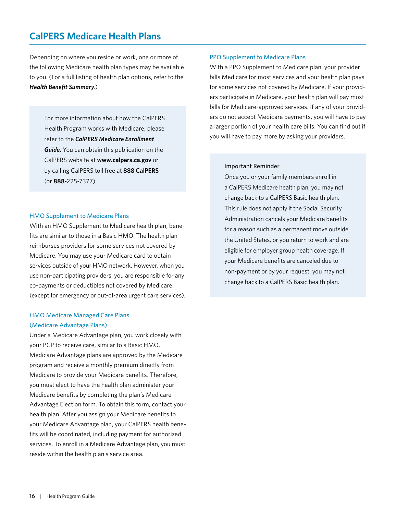## <span id="page-17-0"></span>**CalPERS Medicare Health Plans**

Depending on where you reside or work, one or more of the following Medicare health plan types may be available to you. (For a full listing of health plan options, refer to the *Health Benefit Summary*.)

For more information about how the CalPERS Health Program works with Medicare, please refer to the *CalPERS Medicare Enrollment Guide*. You can obtain this publication on the CalPERS website at **[www.calpers.ca.gov](http://www.calpers.ca.gov)** or by calling CalPERS toll free at **888 CalPERS** (or **888**-225-7377).

#### HMO Supplement to Medicare Plans

With an HMO Supplement to Medicare health plan, benefits are similar to those in a Basic HMO. The health plan reimburses providers for some services not covered by Medicare. You may use your Medicare card to obtain services outside of your HMO network. However, when you use non-participating providers, you are responsible for any co-payments or deductibles not covered by Medicare (except for emergency or out-of-area urgent care services).

## HMO Medicare Managed Care Plans (Medicare Advantage Plans)

Under a Medicare Advantage plan, you work closely with your PCP to receive care, similar to a Basic HMO. Medicare Advantage plans are approved by the Medicare program and receive a monthly premium directly from Medicare to provide your Medicare benefits. Therefore, you must elect to have the health plan administer your Medicare benefits by completing the plan's Medicare Advantage Election form. To obtain this form, contact your health plan. After you assign your Medicare benefits to your Medicare Advantage plan, your CalPERS health benefits will be coordinated, including payment for authorized services. To enroll in a Medicare Advantage plan, you must reside within the health plan's service area.

#### PPO Supplement to Medicare Plans

With a PPO Supplement to Medicare plan, your provider bills Medicare for most services and your health plan pays for some services not covered by Medicare. If your providers participate in Medicare, your health plan will pay most bills for Medicare-approved services. If any of your providers do not accept Medicare payments, you will have to pay a larger portion of your health care bills. You can find out if you will have to pay more by asking your providers.

#### Important Reminder

Once you or your family members enroll in a CalPERS Medicare health plan, you may not change back to a CalPERS Basic health plan. This rule does not apply if the Social Security Administration cancels your Medicare benefits for a reason such as a permanent move outside the United States, or you return to work and are eligible for employer group health coverage. If your Medicare benefits are canceled due to non-payment or by your request, you may not change back to a CalPERS Basic health plan.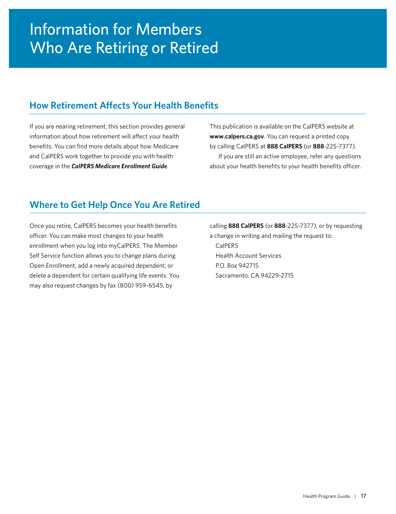## <span id="page-18-0"></span>**How Retirement Affects Your Health Benefits**

If you are nearing retirement, this section provides general information about how retirement will affect your health benefits. You can find more details about how Medicare and CalPERS work together to provide you with health coverage in the *CalPERS Medicare Enrollment Guide*.

This publication is available on the CalPERS website at **[www.calpers.ca.gov](http://www.calpers.ca.gov)**. You can request a printed copy by calling CalPERS at **888 CalPERS** (or **888**-225-7377). If you are still an active employee, refer any questions about your health benefits to your health benefits officer.

## **Where to Get Help Once You Are Retired**

Once you retire, CalPERS becomes your health benefits officer. You can make most changes to your health enrollment when you log into myCalPERS. The Member Self Service function allows you to change plans during Open Enrollment, add a newly acquired dependent, or delete a dependent for certain qualifying life events. You may also request changes by fax (800) 959-6545, by

calling **888 CalPERS** (or **888**-225-7377), or by requesting a change in writing and mailing the request to:

CalPERS Health Account Services P.O. Box 942715 Sacramento, CA 94229-2715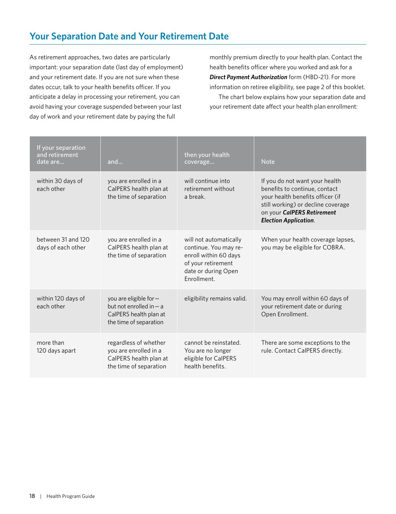<span id="page-19-0"></span>As retirement approaches, two dates are particularly important: your separation date (last day of employment) and your retirement date. If you are not sure when these dates occur, talk to your health benefits officer. If you anticipate a delay in processing your retirement, you can avoid having your coverage suspended between your last day of work and your retirement date by paying the full

monthly premium directly to your health plan. Contact the health benefits officer where you worked and ask for a *Direct Payment Authorization* form (HBD-21). For more information on retiree eligibility, see page 2 of this booklet. The chart below explains how your separation date and your retirement date affect your health plan enrollment:

| If your separation<br>and retirement<br>date are | and                                                                                                    | then your health<br>coverage                                                                                                         | <b>Note</b>                                                                                                                                                                                             |
|--------------------------------------------------|--------------------------------------------------------------------------------------------------------|--------------------------------------------------------------------------------------------------------------------------------------|---------------------------------------------------------------------------------------------------------------------------------------------------------------------------------------------------------|
| within 30 days of<br>each other                  | you are enrolled in a<br>CalPERS health plan at<br>the time of separation                              | will continue into<br>retirement without<br>a break.                                                                                 | If you do not want your health<br>benefits to continue, contact<br>your health benefits officer (if<br>still working) or decline coverage<br>on your CalPERS Retirement<br><b>Election Application.</b> |
| between 31 and 120<br>days of each other         | you are enrolled in a<br>CalPERS health plan at<br>the time of separation                              | will not automatically<br>continue. You may re-<br>enroll within 60 days<br>of your retirement<br>date or during Open<br>Fnrollment. | When your health coverage lapses,<br>you may be eligible for COBRA.                                                                                                                                     |
| within 120 days of<br>each other                 | you are eligible for-<br>but not enrolled in $-$ a<br>CalPERS health plan at<br>the time of separation | eligibility remains valid.                                                                                                           | You may enroll within 60 days of<br>your retirement date or during<br>Open Enrollment.                                                                                                                  |
| more than<br>120 days apart                      | regardless of whether<br>you are enrolled in a<br>CalPERS health plan at<br>the time of separation     | cannot be reinstated.<br>You are no longer<br>eligible for CalPERS<br>health benefits.                                               | There are some exceptions to the<br>rule. Contact CalPERS directly.                                                                                                                                     |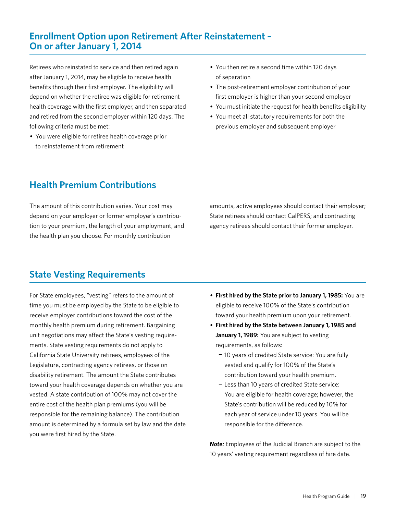## <span id="page-20-0"></span>**Enrollment Option upon Retirement After Reinstatement – On or after January 1, 2014**

Retirees who reinstated to service and then retired again after January 1, 2014, may be eligible to receive health benefits through their first employer. The eligibility will depend on whether the retiree was eligible for retirement health coverage with the first employer, and then separated and retired from the second employer within 120 days. The following criteria must be met:

• You were eligible for retiree health coverage prior to reinstatement from retirement

- You then retire a second time within 120 days of separation
- The post-retirement employer contribution of your first employer is higher than your second employer
- You must initiate the request for health benefits eligibility
- You meet all statutory requirements for both the previous employer and subsequent employer

## **Health Premium Contributions**

The amount of this contribution varies. Your cost may depend on your employer or former employer's contribution to your premium, the length of your employment, and the health plan you choose. For monthly contribution

amounts, active employees should contact their employer; State retirees should contact CalPERS; and contracting agency retirees should contact their former employer.

## **State Vesting Requirements**

For State employees, "vesting" refers to the amount of time you must be employed by the State to be eligible to receive employer contributions toward the cost of the monthly health premium during retirement. Bargaining unit negotiations may affect the State's vesting requirements. State vesting requirements do not apply to California State University retirees, employees of the Legislature, contracting agency retirees, or those on disability retirement. The amount the State contributes toward your health coverage depends on whether you are vested. A state contribution of 100% may not cover the entire cost of the health plan premiums (you will be responsible for the remaining balance). The contribution amount is determined by a formula set by law and the date you were first hired by the State.

- **First hired by the State prior to January 1, 1985:** You are eligible to receive 100% of the State's contribution toward your health premium upon your retirement.
- **First hired by the State between January 1, 1985 and January 1, 1989:** You are subject to vesting requirements, as follows:
	- − 10 years of credited State service: You are fully vested and qualify for 100% of the State's contribution toward your health premium.
	- − Less than 10 years of credited State service: You are eligible for health coverage; however, the State's contribution will be reduced by 10% for each year of service under 10 years. You will be responsible for the difference.

*Note:* Employees of the Judicial Branch are subject to the 10 years' vesting requirement regardless of hire date.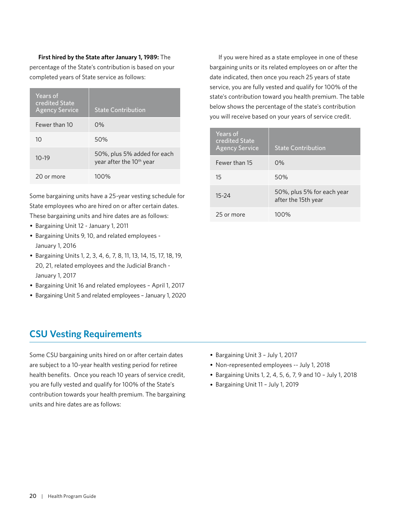<span id="page-21-0"></span>**First hired by the State after January 1, 1989:** The percentage of the State's contribution is based on your completed years of State service as follows:

| Years of<br>credited State<br><b>Agency Service</b> | <b>State Contribution</b>                                           |
|-----------------------------------------------------|---------------------------------------------------------------------|
| Fewer than 10                                       | $0\%$                                                               |
| 10                                                  | 50%                                                                 |
| $10 - 19$                                           | 50%, plus 5% added for each<br>year after the 10 <sup>th</sup> year |
| 20 or more                                          | 100%                                                                |

Some bargaining units have a 25-year vesting schedule for State employees who are hired on or after certain dates. These bargaining units and hire dates are as follows:

- Bargaining Unit 12 January 1, 2011
- Bargaining Units 9, 10, and related employees January 1, 2016
- Bargaining Units 1, 2, 3, 4, 6, 7, 8, 11, 13, 14, 15, 17, 18, 19, 20, 21, related employees and the Judicial Branch - January 1, 2017
- Bargaining Unit 16 and related employees April 1, 2017
- Bargaining Unit 5 and related employees January 1, 2020

## **CSU Vesting Requirements**

Some CSU bargaining units hired on or after certain dates are subject to a 10-year health vesting period for retiree health benefits. Once you reach 10 years of service credit, you are fully vested and qualify for 100% of the State's contribution towards your health premium. The bargaining units and hire dates are as follows:

If you were hired as a state employee in one of these bargaining units or its related employees on or after the date indicated, then once you reach 25 years of state service, you are fully vested and qualify for 100% of the state's contribution toward you health premium. The table below shows the percentage of the state's contribution you will receive based on your years of service credit.

| Years of<br>credited State<br><b>Agency Service</b> | <b>State Contribution</b>                         |
|-----------------------------------------------------|---------------------------------------------------|
| Fewer than 15                                       | $0\%$                                             |
| 15                                                  | 50%                                               |
| $15 - 24$                                           | 50%, plus 5% for each year<br>after the 15th year |
| 25 or more                                          | 100%                                              |

- Bargaining Unit 3 July 1, 2017
- Non-represented employees -- July 1, 2018
- Bargaining Units 1, 2, 4, 5, 6, 7, 9 and 10 July 1, 2018
- Bargaining Unit 11 July 1, 2019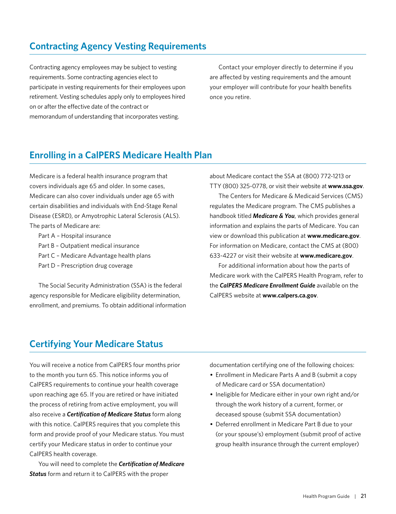## <span id="page-22-0"></span>**Contracting Agency Vesting Requirements**

Contracting agency employees may be subject to vesting requirements. Some contracting agencies elect to participate in vesting requirements for their employees upon retirement. Vesting schedules apply only to employees hired on or after the effective date of the contract or memorandum of understanding that incorporates vesting.

Contact your employer directly to determine if you are affected by vesting requirements and the amount your employer will contribute for your health benefits once you retire.

## **Enrolling in a CalPERS Medicare Health Plan**

Medicare is a federal health insurance program that covers individuals age 65 and older. In some cases, Medicare can also cover individuals under age 65 with certain disabilities and individuals with End-Stage Renal Disease (ESRD), or Amyotrophic Lateral Sclerosis (ALS). The parts of Medicare are:

- Part A Hospital insurance
- Part B Outpatient medical insurance
- Part C Medicare Advantage health plans
- Part D Prescription drug coverage

The Social Security Administration (SSA) is the federal agency responsible for Medicare eligibility determination, enrollment, and premiums. To obtain additional information about Medicare contact the SSA at (800) 772-1213 or TTY (800) 325-0778, or visit their website at **[www.ssa.gov](http://www.ssa.gov)**.

The Centers for Medicare & Medicaid Services (CMS) regulates the Medicare program. The CMS publishes a handbook titled *Medicare & You*, which provides general information and explains the parts of Medicare. You can view or download this publication at **[www.medicare.gov](http://www.medicare.gov)**. For information on Medicare, contact the CMS at (800) 633-4227 or visit their website at **[www.medicare.gov](http://www.medicare.gov)**.

For additional information about how the parts of Medicare work with the CalPERS Health Program, refer to the *CalPERS Medicare Enrollment Guide* available on the CalPERS website at **[www.calpers.ca.gov](http://www.calpers.ca.gov)**.

## **Certifying Your Medicare Status**

You will receive a notice from CalPERS four months prior to the month you turn 65. This notice informs you of CalPERS requirements to continue your health coverage upon reaching age 65. If you are retired or have initiated the process of retiring from active employment, you will also receive a *Certification of Medicare Status* form along with this notice. CalPERS requires that you complete this form and provide proof of your Medicare status. You must certify your Medicare status in order to continue your CalPERS health coverage.

You will need to complete the *Certification of Medicare Status* form and return it to CalPERS with the proper

documentation certifying one of the following choices:

- Enrollment in Medicare Parts A and B (submit a copy of Medicare card or SSA documentation)
- Ineligible for Medicare either in your own right and/or through the work history of a current, former, or deceased spouse (submit SSA documentation)
- Deferred enrollment in Medicare Part B due to your (or your spouse's) employment (submit proof of active group health insurance through the current employer)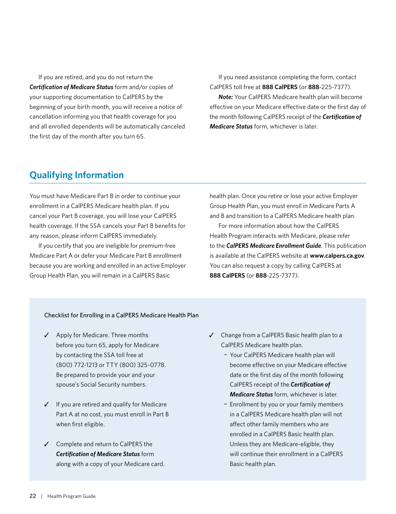<span id="page-23-0"></span>If you are retired, and you do not return the *Certification of Medicare Status* form and/or copies of your supporting documentation to CalPERS by the beginning of your birth month, you will receive a notice of cancellation informing you that health coverage for you and all enrolled dependents will be automatically canceled the first day of the month after you turn 65.

If you need assistance completing the form, contact CalPERS toll free at **888 CalPERS** (or **888**-225-7377).

*Note:* Your CalPERS Medicare health plan will become effective on your Medicare effective date or the first day of the month following CalPERS receipt of the *Certification of Medicare Status* form, whichever is later.

## **Qualifying Information**

You must have Medicare Part B in order to continue your enrollment in a CalPERS Medicare health plan. If you cancel your Part B coverage, you will lose your CalPERS health coverage. If the SSA cancels your Part B benefits for any reason, please inform CalPERS immediately.

If you certify that you are ineligible for premium-free Medicare Part A or defer your Medicare Part B enrollment because you are working and enrolled in an active Employer Group Health Plan, you will remain in a CalPERS Basic

health plan. Once you retire or lose your active Employer Group Health Plan, you must enroll in Medicare Parts A and B and transition to a CalPERS Medicare health plan.

For more information about how the CalPERS Health Program interacts with Medicare, please refer to the *CalPERS Medicare Enrollment Guide*. This publication is available at the CalPERS website at **[www.calpers.ca.gov](http://www.calpers.ca.gov)**. You can also request a copy by calling CalPERS at **888 CalPERS** (or **888**-225-7377).

#### Checklist for Enrolling in a CalPERS Medicare Health Plan

- ✓ Apply for Medicare. Three months before you turn 65, apply for Medicare by contacting the SSA toll free at (800) 772-1213 or TTY (800) 325-0778. Be prepared to provide your and your spouse's Social Security numbers.
- ✓ If you are retired and qualify for Medicare Part A at no cost, you must enroll in Part B when first eligible.
- ✓ Complete and return to CalPERS the *Certification of Medicare Status* form along with a copy of your Medicare card.
- ✓ Change from a CalPERS Basic health plan to a CalPERS Medicare health plan.
	- − Your CalPERS Medicare health plan will become effective on your Medicare effective date or the first day of the month following CalPERS receipt of the *Certification of Medicare Status* form, whichever is later.
	- − Enrollment by you or your family members in a CalPERS Medicare health plan will not affect other family members who are enrolled in a CalPERS Basic health plan. Unless they are Medicare-eligible, they will continue their enrollment in a CalPERS Basic health plan.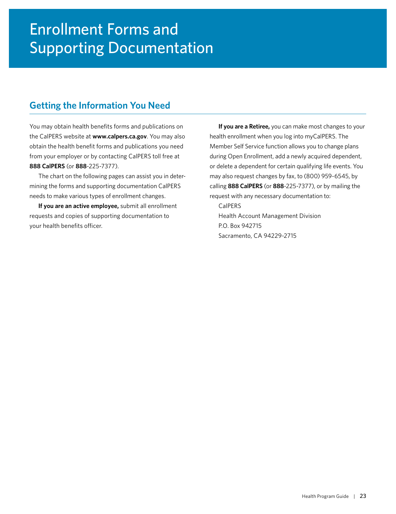## <span id="page-24-0"></span>**Getting the Information You Need**

You may obtain health benefits forms and publications on the CalPERS website at **[www.calpers.ca.gov](http://www.calpers.ca.gov)**. You may also obtain the health benefit forms and publications you need from your employer or by contacting CalPERS toll free at **888 CalPERS** (or **888**-225-7377).

The chart on the following pages can assist you in determining the forms and supporting documentation CalPERS needs to make various types of enrollment changes.

**If you are an active employee,** submit all enrollment requests and copies of supporting documentation to your health benefits officer.

**If you are a Retiree,** you can make most changes to your health enrollment when you log into myCalPERS. The Member Self Service function allows you to change plans during Open Enrollment, add a newly acquired dependent, or delete a dependent for certain qualifying life events. You may also request changes by fax, to (800) 959-6545, by calling **888 CalPERS** (or **888**-225-7377), or by mailing the request with any necessary documentation to:

CalPERS Health Account Management Division P.O. Box 942715 Sacramento, CA 94229-2715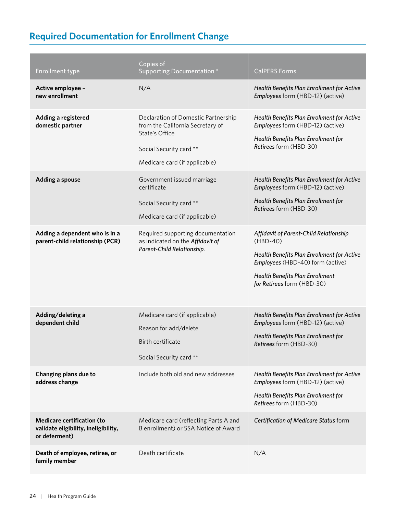## <span id="page-25-0"></span>**Required Documentation for Enrollment Change**

| <b>Enrollment type</b>                                                                     | Copies of<br>Supporting Documentation *                                                                                                               | <b>CalPERS Forms</b>                                                                                                                                                                                           |
|--------------------------------------------------------------------------------------------|-------------------------------------------------------------------------------------------------------------------------------------------------------|----------------------------------------------------------------------------------------------------------------------------------------------------------------------------------------------------------------|
| Active employee -<br>new enrollment                                                        | N/A                                                                                                                                                   | Health Benefits Plan Enrollment for Active<br>Employees form (HBD-12) (active)                                                                                                                                 |
| Adding a registered<br>domestic partner                                                    | Declaration of Domestic Partnership<br>from the California Secretary of<br>State's Office<br>Social Security card **<br>Medicare card (if applicable) | Health Benefits Plan Enrollment for Active<br>Employees form (HBD-12) (active)<br>Health Benefits Plan Enrollment for<br>Retirees form (HBD-30)                                                                |
| <b>Adding a spouse</b>                                                                     | Government issued marriage<br>certificate<br>Social Security card **<br>Medicare card (if applicable)                                                 | Health Benefits Plan Enrollment for Active<br>Employees form (HBD-12) (active)<br>Health Benefits Plan Enrollment for<br>Retirees form (HBD-30)                                                                |
| Adding a dependent who is in a<br>parent-child relationship (PCR)                          | Required supporting documentation<br>as indicated on the Affidavit of<br>Parent-Child Relationship.                                                   | Affidavit of Parent-Child Relationship<br>$(HBD-40)$<br>Health Benefits Plan Enrollment for Active<br>Employees (HBD-40) form (active)<br><b>Health Benefits Plan Enrollment</b><br>for Retirees form (HBD-30) |
| Adding/deleting a<br>dependent child                                                       | Medicare card (if applicable)<br>Reason for add/delete<br>Birth certificate<br>Social Security card **                                                | Health Benefits Plan Enrollment for Active<br>Employees form (HBD-12) (active)<br>Health Benefits Plan Enrollment for<br>Retirees form (HBD-30)                                                                |
| Changing plans due to<br>address change                                                    | Include both old and new addresses                                                                                                                    | Health Benefits Plan Enrollment for Active<br>Employees form (HBD-12) (active)<br>Health Benefits Plan Enrollment for<br>Retirees form (HBD-30)                                                                |
| <b>Medicare certification (to</b><br>validate eligibility, ineligibility,<br>or deferment) | Medicare card (reflecting Parts A and<br>B enrollment) or SSA Notice of Award                                                                         | Certification of Medicare Status form                                                                                                                                                                          |
| Death of employee, retiree, or<br>family member                                            | Death certificate                                                                                                                                     | N/A                                                                                                                                                                                                            |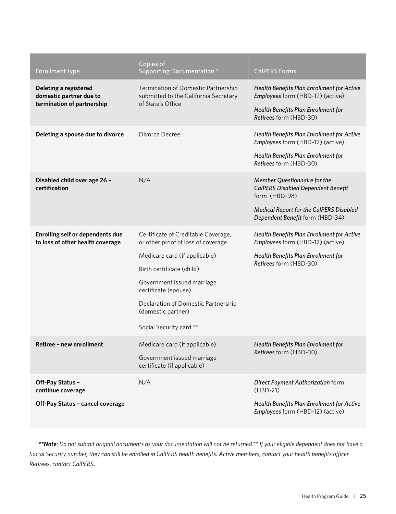| <b>Enrollment type</b>                                                         | Copies of<br>Supporting Documentation *                                                                                                                                                                                                                                               | <b>CalPERS Forms</b>                                                                                                                                                     |
|--------------------------------------------------------------------------------|---------------------------------------------------------------------------------------------------------------------------------------------------------------------------------------------------------------------------------------------------------------------------------------|--------------------------------------------------------------------------------------------------------------------------------------------------------------------------|
| Deleting a registered<br>domestic partner due to<br>termination of partnership | Termination of Domestic Partnership<br>submitted to the California Secretary<br>of State's Office                                                                                                                                                                                     | Health Benefits Plan Enrollment for Active<br>Employees form (HBD-12) (active)<br>Health Benefits Plan Enrollment for<br>Retirees form (HBD-30)                          |
| Deleting a spouse due to divorce                                               | Divorce Decree                                                                                                                                                                                                                                                                        | Health Benefits Plan Enrollment for Active<br>Employees form (HBD-12) (active)<br>Health Benefits Plan Enrollment for<br>Retirees form (HBD-30)                          |
| Disabled child over age 26 -<br>certification                                  | N/A                                                                                                                                                                                                                                                                                   | Member Questionnaire for the<br><b>CalPERS Disabled Dependent Benefit</b><br>form (HBD-98)<br>Medical Report for the CalPERS Disabled<br>Dependent Benefit form (HBD-34) |
| Enrolling self or dependents due<br>to loss of other health coverage           | Certificate of Creditable Coverage,<br>or other proof of loss of coverage<br>Medicare card (if applicable)<br>Birth certificate (child)<br>Government issued marriage<br>certificate (spouse)<br>Declaration of Domestic Partnership<br>(domestic partner)<br>Social Security card ** | Health Benefits Plan Enrollment for Active<br>Employees form (HBD-12) (active)<br>Health Benefits Plan Enrollment for<br>Retirees form (HBD-30)                          |
| Retiree - new enrollment                                                       | Medicare card (if applicable)<br>Government issued marriage<br>certificate (if applicable)                                                                                                                                                                                            | Health Benefits Plan Enrollment for<br>Retirees form (HBD-30)                                                                                                            |
| Off-Pay Status -<br>continue coverage<br>Off-Pay Status - cancel coverage      | N/A                                                                                                                                                                                                                                                                                   | Direct Payment Authorization form<br>$(HBD-21)$<br>Health Benefits Plan Enrollment for Active<br>Employees form (HBD-12) (active)                                        |

*\*\*Note: Do not submit original documents as your documentation will not be returned.\*\* If your eligible dependent does not have a Social Security number, they can still be enrolled in CalPERS health benefits. Active members, contact your health benefits officer. Retirees, contact CalPERS.*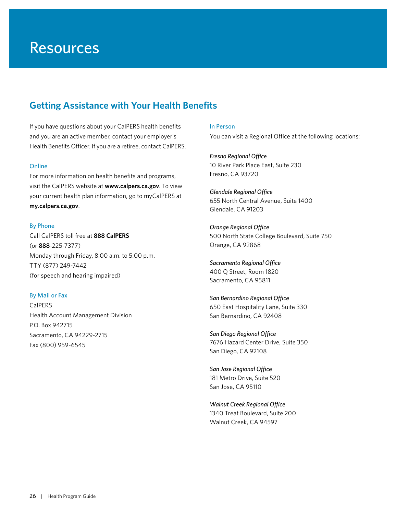## <span id="page-27-0"></span>**Getting Assistance with Your Health Benefits**

If you have questions about your CalPERS health benefits and you are an active member, contact your employer's Health Benefits Officer. If you are a retiree, contact CalPERS.

#### Online

For more information on health benefits and programs, visit the CalPERS website at **[www.calpers.ca.gov](http://www.calpers.ca.gov)**. To view your current health plan information, go to myCalPERS at **[my.calpers.ca.gov](http://my.calpers.ca.gov)**.

#### By Phone

Call CalPERS toll free at **888 CalPERS** (or **888**-225-7377) Monday through Friday, 8:00 a.m. to 5:00 p.m. TTY (877) 249-7442 (for speech and hearing impaired)

### By Mail or Fax

CalPERS Health Account Management Division P.O. Box 942715 Sacramento, CA 94229-2715 Fax (800) 959-6545

In Person You can visit a Regional Office at the following locations:

*Fresno Regional Office* 10 River Park Place East, Suite 230 Fresno, CA 93720

*Glendale Regional Office* 655 North Central Avenue, Suite 1400 Glendale, CA 91203

*Orange Regional Office* 500 North State College Boulevard, Suite 750 Orange, CA 92868

*Sacramento Regional Office* 400 Q Street, Room 1820 Sacramento, CA 95811

*San Bernardino Regional Office*  650 East Hospitality Lane, Suite 330 San Bernardino, CA 92408

*San Diego Regional Office* 7676 Hazard Center Drive, Suite 350 San Diego, CA 92108

*San Jose Regional Office* 181 Metro Drive, Suite 520 San Jose, CA 95110

*Walnut Creek Regional Office* 1340 Treat Boulevard, Suite 200 Walnut Creek, CA 94597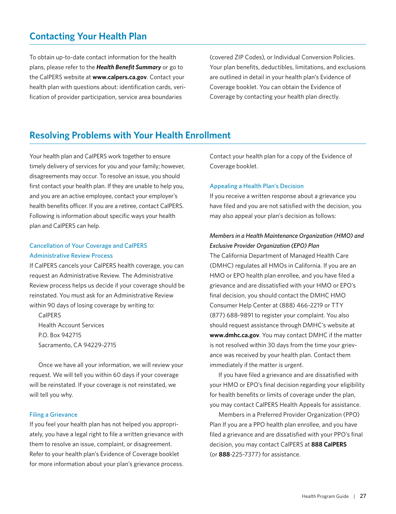## <span id="page-28-0"></span>**Contacting Your Health Plan**

To obtain up-to-date contact information for the health plans, please refer to the *Health Benefit Summary* or go to the CalPERS website at **[www.calpers.ca.gov](http://www.calpers.ca.gov)**. Contact your health plan with questions about: identification cards, verification of provider participation, service area boundaries

(covered ZIP Codes), or Individual Conversion Policies. Your plan benefits, deductibles, limitations, and exclusions are outlined in detail in your health plan's Evidence of Coverage booklet. You can obtain the Evidence of Coverage by contacting your health plan directly.

## **Resolving Problems with Your Health Enrollment**

Your health plan and CalPERS work together to ensure timely delivery of services for you and your family; however, disagreements may occur. To resolve an issue, you should first contact your health plan. If they are unable to help you, and you are an active employee, contact your employer's health benefits officer. If you are a retiree, contact CalPERS. Following is information about specific ways your health plan and CalPERS can help.

## Cancellation of Your Coverage and CalPERS Administrative Review Process

If CalPERS cancels your CalPERS health coverage, you can request an Administrative Review. The Administrative Review process helps us decide if your coverage should be reinstated. You must ask for an Administrative Review within 90 days of losing coverage by writing to:

CalPERS Health Account Services P.O. Box 942715 Sacramento, CA 94229-2715

Once we have all your information, we will review your request. We will tell you within 60 days if your coverage will be reinstated. If your coverage is not reinstated, we will tell you why.

### Filing a Grievance

If you feel your health plan has not helped you appropriately, you have a legal right to file a written grievance with them to resolve an issue, complaint, or disagreement. Refer to your health plan's Evidence of Coverage booklet for more information about your plan's grievance process. Contact your health plan for a copy of the Evidence of Coverage booklet.

### Appealing a Health Plan's Decision

If you receive a written response about a grievance you have filed and you are not satisfied with the decision, you may also appeal your plan's decision as follows:

## *Members in a Health Maintenance Organization (HMO) and Exclusive Provider Organization (EPO) Plan*

The California Department of Managed Health Care (DMHC) regulates all HMOs in California. If you are an HMO or EPO health plan enrollee, and you have filed a grievance and are dissatisfied with your HMO or EPO's final decision, you should contact the DMHC HMO Consumer Help Center at (888) 466-2219 or TTY (877) 688-9891 to register your complaint. You also should request assistance through DMHC's website at **[www.dmhc.ca.gov](http://www.dmhc.ca.gov)**. You may contact DMHC if the matter is not resolved within 30 days from the time your grievance was received by your health plan. Contact them immediately if the matter is urgent.

If you have filed a grievance and are dissatisfied with your HMO or EPO's final decision regarding your eligibility for health benefits or limits of coverage under the plan, you may contact CalPERS Health Appeals for assistance.

Members in a Preferred Provider Organization (PPO) Plan If you are a PPO health plan enrollee, and you have filed a grievance and are dissatisfied with your PPO's final decision, you may contact CalPERS at **888 CalPERS** (or **888**-225-7377) for assistance.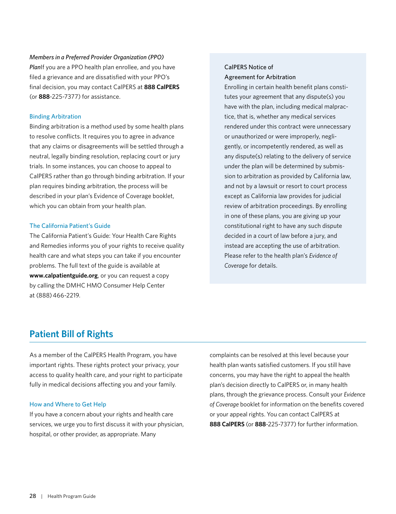<span id="page-29-0"></span>*Members in a Preferred Provider Organization (PPO)* 

*Plan*If you are a PPO health plan enrollee, and you have filed a grievance and are dissatisfied with your PPO's final decision, you may contact CalPERS at **888 CalPERS** (or **888**-225-7377) for assistance.

### Binding Arbitration

Binding arbitration is a method used by some health plans to resolve conflicts. It requires you to agree in advance that any claims or disagreements will be settled through a neutral, legally binding resolution, replacing court or jury trials. In some instances, you can choose to appeal to CalPERS rather than go through binding arbitration. If your plan requires binding arbitration, the process will be described in your plan's Evidence of Coverage booklet, which you can obtain from your health plan.

### The California Patient's Guide

The California Patient's Guide: Your Health Care Rights and Remedies informs you of your rights to receive quality health care and what steps you can take if you encounter problems. The full text of the guide is available at **[www.calpatientguide.org](http://www.calpatientguide.org)**, or you can request a copy by calling the DMHC HMO Consumer Help Center at (888) 466-2219.

## CalPERS Notice of Agreement for Arbitration

Enrolling in certain health benefit plans constitutes your agreement that any dispute(s) you have with the plan, including medical malpractice, that is, whether any medical services rendered under this contract were unnecessary or unauthorized or were improperly, negligently, or incompetently rendered, as well as any dispute(s) relating to the delivery of service under the plan will be determined by submission to arbitration as provided by California law, and not by a lawsuit or resort to court process except as California law provides for judicial review of arbitration proceedings. By enrolling in one of these plans, you are giving up your constitutional right to have any such dispute decided in a court of law before a jury, and instead are accepting the use of arbitration. Please refer to the health plan's *Evidence of Coverage* for details.

## **Patient Bill of Rights**

As a member of the CalPERS Health Program, you have important rights. These rights protect your privacy, your access to quality health care, and your right to participate fully in medical decisions affecting you and your family.

### How and Where to Get Help

If you have a concern about your rights and health care services, we urge you to first discuss it with your physician, hospital, or other provider, as appropriate. Many

complaints can be resolved at this level because your health plan wants satisfied customers. If you still have concerns, you may have the right to appeal the health plan's decision directly to CalPERS or, in many health plans, through the grievance process. Consult your *Evidence of Coverage* booklet for information on the benefits covered or your appeal rights. You can contact CalPERS at **888 CalPERS** (or **888**-225-7377) for further information.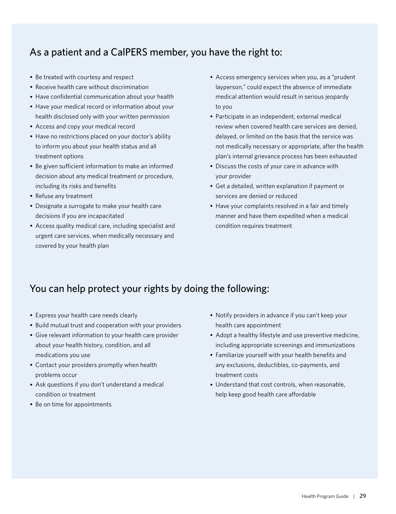## As a patient and a CalPERS member, you have the right to:

- Be treated with courtesy and respect
- Receive health care without discrimination
- Have confidential communication about your health
- Have your medical record or information about your health disclosed only with your written permission
- Access and copy your medical record
- Have no restrictions placed on your doctor's ability to inform you about your health status and all treatment options
- Be given sufficient information to make an informed decision about any medical treatment or procedure, including its risks and benefits
- Refuse any treatment
- Designate a surrogate to make your health care decisions if you are incapacitated
- Access quality medical care, including specialist and urgent care services, when medically necessary and covered by your health plan
- Access emergency services when you, as a "prudent layperson," could expect the absence of immediate medical attention would result in serious jeopardy to you
- Participate in an independent, external medical review when covered health care services are denied, delayed, or limited on the basis that the service was not medically necessary or appropriate, after the health plan's internal grievance process has been exhausted
- Discuss the costs of your care in advance with your provider
- Get a detailed, written explanation if payment or services are denied or reduced
- Have your complaints resolved in a fair and timely manner and have them expedited when a medical condition requires treatment

## You can help protect your rights by doing the following:

- Express your health care needs clearly
- Build mutual trust and cooperation with your providers
- Give relevant information to your health care provider about your health history, condition, and all medications you use
- Contact your providers promptly when health problems occur
- Ask questions if you don't understand a medical condition or treatment
- Be on time for appointments
- Notify providers in advance if you can't keep your health care appointment
- Adopt a healthy lifestyle and use preventive medicine, including appropriate screenings and immunizations
- Familiarize yourself with your health benefits and any exclusions, deductibles, co-payments, and treatment costs
- Understand that cost controls, when reasonable, help keep good health care affordable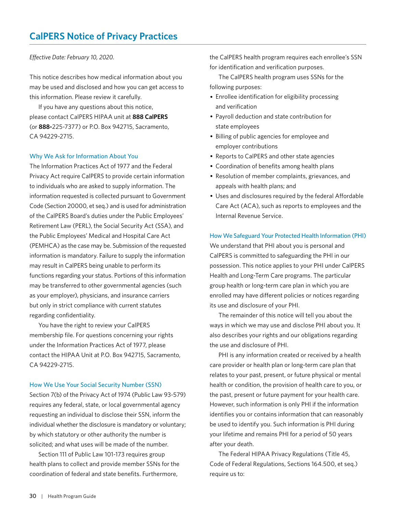### <span id="page-31-0"></span>*Effective Date: February 10, 2020.*

This notice describes how medical information about you may be used and disclosed and how you can get access to this information. Please review it carefully.

If you have any questions about this notice, please contact CalPERS HIPAA unit at **888 CalPERS** (or **888-**225-7377) or P.O. Box 942715, Sacramento, CA 94229-2715.

#### Why We Ask for Information About You

The Information Practices Act of 1977 and the Federal Privacy Act require CalPERS to provide certain information to individuals who are asked to supply information. The information requested is collected pursuant to Government Code (Section 20000, et seq.) and is used for administration of the CalPERS Board's duties under the Public Employees' Retirement Law (PERL), the Social Security Act (SSA), and the Public Employees' Medical and Hospital Care Act (PEMHCA) as the case may be. Submission of the requested information is mandatory. Failure to supply the information may result in CalPERS being unable to perform its functions regarding your status. Portions of this information may be transferred to other governmental agencies (such as your employer), physicians, and insurance carriers but only in strict compliance with current statutes regarding confidentiality.

You have the right to review your CalPERS membership file. For questions concerning your rights under the Information Practices Act of 1977, please contact the HIPAA Unit at P.O. Box 942715, Sacramento, CA 94229-2715.

#### How We Use Your Social Security Number (SSN)

Section 7(b) of the Privacy Act of 1974 (Public Law 93-579) requires any federal, state, or local governmental agency requesting an individual to disclose their SSN, inform the individual whether the disclosure is mandatory or voluntary; by which statutory or other authority the number is solicited; and what uses will be made of the number.

Section 111 of Public Law 101-173 requires group health plans to collect and provide member SSNs for the coordination of federal and state benefits. Furthermore,

the CalPERS health program requires each enrollee's SSN for identification and verification purposes.

The CalPERS health program uses SSNs for the following purposes:

- Enrollee identification for eligibility processing and verification
- Payroll deduction and state contribution for state employees
- Billing of public agencies for employee and employer contributions
- Reports to CalPERS and other state agencies
- Coordination of benefits among health plans
- Resolution of member complaints, grievances, and appeals with health plans; and
- Uses and disclosures required by the federal Affordable Care Act (ACA), such as reports to employees and the Internal Revenue Service.

#### How We Safeguard Your Protected Health Information (PHI)

We understand that PHI about you is personal and CalPERS is committed to safeguarding the PHI in our possession. This notice applies to your PHI under CalPERS Health and Long-Term Care programs. The particular group health or long-term care plan in which you are enrolled may have different policies or notices regarding its use and disclosure of your PHI.

The remainder of this notice will tell you about the ways in which we may use and disclose PHI about you. It also describes your rights and our obligations regarding the use and disclosure of PHI.

PHI is any information created or received by a health care provider or health plan or long-term care plan that relates to your past, present, or future physical or mental health or condition, the provision of health care to you, or the past, present or future payment for your health care. However, such information is only PHI if the information identifies you or contains information that can reasonably be used to identify you. Such information is PHI during your lifetime and remains PHI for a period of 50 years after your death.

The Federal HIPAA Privacy Regulations (Title 45, Code of Federal Regulations, Sections 164.500, et seq.) require us to: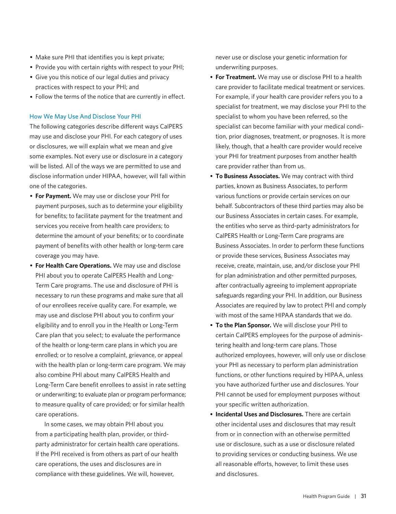- Make sure PHI that identifies you is kept private;
- Provide you with certain rights with respect to your PHI;
- Give you this notice of our legal duties and privacy practices with respect to your PHI; and
- Follow the terms of the notice that are currently in effect.

#### How We May Use And Disclose Your PHI

The following categories describe different ways CalPERS may use and disclose your PHI. For each category of uses or disclosures, we will explain what we mean and give some examples. Not every use or disclosure in a category will be listed. All of the ways we are permitted to use and disclose information under HIPAA, however, will fall within one of the categories.

- **For Payment.** We may use or disclose your PHI for payment purposes, such as to determine your eligibility for benefits; to facilitate payment for the treatment and services you receive from health care providers; to determine the amount of your benefits; or to coordinate payment of benefits with other health or long-term care coverage you may have.
- **For Health Care Operations.** We may use and disclose PHI about you to operate CalPERS Health and Long-Term Care programs. The use and disclosure of PHI is necessary to run these programs and make sure that all of our enrollees receive quality care. For example, we may use and disclose PHI about you to confirm your eligibility and to enroll you in the Health or Long-Term Care plan that you select; to evaluate the performance of the health or long-term care plans in which you are enrolled; or to resolve a complaint, grievance, or appeal with the health plan or long-term care program. We may also combine PHI about many CalPERS Health and Long-Term Care benefit enrollees to assist in rate setting or underwriting; to evaluate plan or program performance; to measure quality of care provided; or for similar health care operations.

In some cases, we may obtain PHI about you from a participating health plan, provider, or thirdparty administrator for certain health care operations. If the PHI received is from others as part of our health care operations, the uses and disclosures are in compliance with these guidelines. We will, however,

never use or disclose your genetic information for underwriting purposes.

- **For Treatment.** We may use or disclose PHI to a health care provider to facilitate medical treatment or services. For example, if your health care provider refers you to a specialist for treatment, we may disclose your PHI to the specialist to whom you have been referred, so the specialist can become familiar with your medical condition, prior diagnoses, treatment, or prognoses. It is more likely, though, that a health care provider would receive your PHI for treatment purposes from another health care provider rather than from us.
- **To Business Associates.** We may contract with third parties, known as Business Associates, to perform various functions or provide certain services on our behalf. Subcontractors of these third parties may also be our Business Associates in certain cases. For example, the entities who serve as third-party administrators for CalPERS Health or Long-Term Care programs are Business Associates. In order to perform these functions or provide these services, Business Associates may receive, create, maintain, use, and/or disclose your PHI for plan administration and other permitted purposes, after contractually agreeing to implement appropriate safeguards regarding your PHI. In addition, our Business Associates are required by law to protect PHI and comply with most of the same HIPAA standards that we do.
- **To the Plan Sponsor.** We will disclose your PHI to certain CalPERS employees for the purpose of administering health and long-term care plans. Those authorized employees, however, will only use or disclose your PHI as necessary to perform plan administration functions, or other functions required by HIPAA, unless you have authorized further use and disclosures. Your PHI cannot be used for employment purposes without your specific written authorization.
- **Incidental Uses and Disclosures.** There are certain other incidental uses and disclosures that may result from or in connection with an otherwise permitted use or disclosure, such as a use or disclosure related to providing services or conducting business. We use all reasonable efforts, however, to limit these uses and disclosures.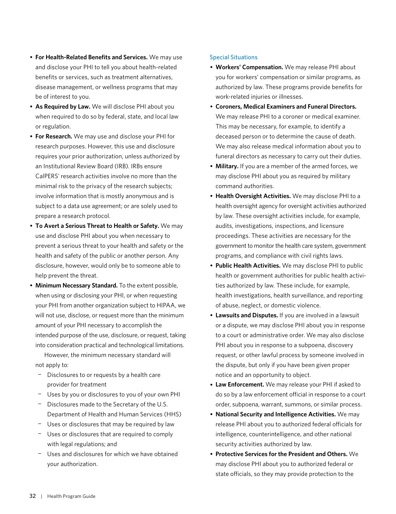- **For Health-Related Benefits and Services.** We may use and disclose your PHI to tell you about health-related benefits or services, such as treatment alternatives, disease management, or wellness programs that may be of interest to you.
- **As Required by Law.** We will disclose PHI about you when required to do so by federal, state, and local law or regulation.
- **For Research.** We may use and disclose your PHI for research purposes. However, this use and disclosure requires your prior authorization, unless authorized by an Institutional Review Board (IRB). IRBs ensure CalPERS' research activities involve no more than the minimal risk to the privacy of the research subjects; involve information that is mostly anonymous and is subject to a data use agreement; or are solely used to prepare a research protocol.
- **To Avert a Serious Threat to Health or Safety.** We may use and disclose PHI about you when necessary to prevent a serious threat to your health and safety or the health and safety of the public or another person. Any disclosure, however, would only be to someone able to help prevent the threat.
- **Minimum Necessary Standard.** To the extent possible, when using or disclosing your PHI, or when requesting your PHI from another organization subject to HIPAA, we will not use, disclose, or request more than the minimum amount of your PHI necessary to accomplish the intended purpose of the use, disclosure, or request, taking into consideration practical and technological limitations.

However, the minimum necessary standard will not apply to:

- − Disclosures to or requests by a health care provider for treatment
- − Uses by you or disclosures to you of your own PHI
- − Disclosures made to the Secretary of the U.S. Department of Health and Human Services (HHS)
- − Uses or disclosures that may be required by law
- − Uses or disclosures that are required to comply with legal regulations; and
- − Uses and disclosures for which we have obtained your authorization.

#### Special Situations

- **Workers' Compensation.** We may release PHI about you for workers' compensation or similar programs, as authorized by law. These programs provide benefits for work-related injuries or illnesses.
- **Coroners, Medical Examiners and Funeral Directors.**  We may release PHI to a coroner or medical examiner. This may be necessary, for example, to identify a deceased person or to determine the cause of death. We may also release medical information about you to funeral directors as necessary to carry out their duties.
- **Military.** If you are a member of the armed forces, we may disclose PHI about you as required by military command authorities.
- **Health Oversight Activities.** We may disclose PHI to a health oversight agency for oversight activities authorized by law. These oversight activities include, for example, audits, investigations, inspections, and licensure proceedings. These activities are necessary for the government to monitor the health care system, government programs, and compliance with civil rights laws.
- **Public Health Activities.** We may disclose PHI to public health or government authorities for public health activities authorized by law. These include, for example, health investigations, health surveillance, and reporting of abuse, neglect, or domestic violence.
- **Lawsuits and Disputes.** If you are involved in a lawsuit or a dispute, we may disclose PHI about you in response to a court or administrative order. We may also disclose PHI about you in response to a subpoena, discovery request, or other lawful process by someone involved in the dispute, but only if you have been given proper notice and an opportunity to object.
- **Law Enforcement.** We may release your PHI if asked to do so by a law enforcement official in response to a court order, subpoena, warrant, summons, or similar process.
- **National Security and Intelligence Activities.** We may release PHI about you to authorized federal officials for intelligence, counterintelligence, and other national security activities authorized by law.
- **Protective Services for the President and Others.** We may disclose PHI about you to authorized federal or state officials, so they may provide protection to the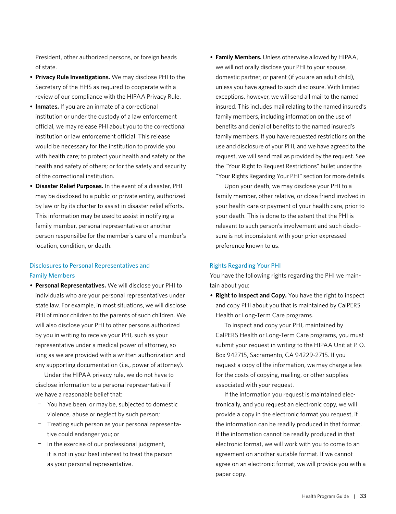President, other authorized persons, or foreign heads of state.

- **Privacy Rule Investigations.** We may disclose PHI to the Secretary of the HHS as required to cooperate with a review of our compliance with the HIPAA Privacy Rule.
- **Inmates.** If you are an inmate of a correctional institution or under the custody of a law enforcement official, we may release PHI about you to the correctional institution or law enforcement official. This release would be necessary for the institution to provide you with health care; to protect your health and safety or the health and safety of others; or for the safety and security of the correctional institution.
- **Disaster Relief Purposes.** In the event of a disaster, PHI may be disclosed to a public or private entity, authorized by law or by its charter to assist in disaster relief efforts. This information may be used to assist in notifying a family member, personal representative or another person responsilbe for the member's care of a member's location, condition, or death.

## Disclosures to Personal Representatives and Family Members

• **Personal Representatives.** We will disclose your PHI to individuals who are your personal representatives under state law. For example, in most situations, we will disclose PHI of minor children to the parents of such children. We will also disclose your PHI to other persons authorized by you in writing to receive your PHI, such as your representative under a medical power of attorney, so long as we are provided with a written authorization and any supporting documentation (i.e., power of attorney).

Under the HIPAA privacy rule, we do not have to disclose information to a personal representative if we have a reasonable belief that:

- − You have been, or may be, subjected to domestic violence, abuse or neglect by such person;
- − Treating such person as your personal representative could endanger you; or
- − In the exercise of our professional judgment, it is not in your best interest to treat the person as your personal representative.

• **Family Members.** Unless otherwise allowed by HIPAA, we will not orally disclose your PHI to your spouse, domestic partner, or parent (if you are an adult child), unless you have agreed to such disclosure. With limited exceptions, however, we will send all mail to the named insured. This includes mail relating to the named insured's family members, including information on the use of benefits and denial of benefits to the named insured's family members. If you have requested restrictions on the use and disclosure of your PHI, and we have agreed to the request, we will send mail as provided by the request. See the "Your Right to Request Restrictions" bullet under the "Your Rights Regarding Your PHI" section for more details.

Upon your death, we may disclose your PHI to a family member, other relative, or close friend involved in your health care or payment of your health care, prior to your death. This is done to the extent that the PHI is relevant to such person's involvement and such disclosure is not inconsistent with your prior expressed preference known to us.

#### Rights Regarding Your PHI

You have the following rights regarding the PHI we maintain about you:

• **Right to Inspect and Copy.** You have the right to inspect and copy PHI about you that is maintained by CalPERS Health or Long-Term Care programs.

To inspect and copy your PHI, maintained by CalPERS Health or Long-Term Care programs, you must submit your request in writing to the HIPAA Unit at P. O. Box 942715, Sacramento, CA 94229-2715. If you request a copy of the information, we may charge a fee for the costs of copying, mailing, or other supplies associated with your request.

If the information you request is maintained electronically, and you request an electronic copy, we will provide a copy in the electronic format you request, if the information can be readily produced in that format. If the information cannot be readily produced in that electronic format, we will work with you to come to an agreement on another suitable format. If we cannot agree on an electronic format, we will provide you with a paper copy.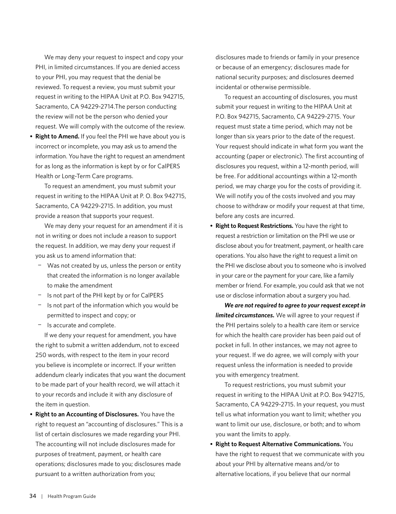We may deny your request to inspect and copy your PHI, in limited circumstances. If you are denied access to your PHI, you may request that the denial be reviewed. To request a review, you must submit your request in writing to the HIPAA Unit at P.O. Box 942715, Sacramento, CA 94229-2714.The person conducting the review will not be the person who denied your request. We will comply with the outcome of the review.

• **Right to Amend.** If you feel the PHI we have about you is incorrect or incomplete, you may ask us to amend the information. You have the right to request an amendment for as long as the information is kept by or for CalPERS Health or Long-Term Care programs.

To request an amendment, you must submit your request in writing to the HIPAA Unit at P. O. Box 942715, Sacramento, CA 94229-2715. In addition, you must provide a reason that supports your request.

We may deny your request for an amendment if it is not in writing or does not include a reason to support the request. In addition, we may deny your request if you ask us to amend information that:

- − Was not created by us, unless the person or entity that created the information is no longer available to make the amendment
- − Is not part of the PHI kept by or for CalPERS
- − Is not part of the information which you would be permitted to inspect and copy; or
- − Is accurate and complete.

If we deny your request for amendment, you have the right to submit a written addendum, not to exceed 250 words, with respect to the item in your record you believe is incomplete or incorrect. If your written addendum clearly indicates that you want the document to be made part of your health record, we will attach it to your records and include it with any disclosure of the item in question.

• **Right to an Accounting of Disclosures.** You have the right to request an "accounting of disclosures." This is a list of certain disclosures we made regarding your PHI. The accounting will not include disclosures made for purposes of treatment, payment, or health care operations; disclosures made to you; disclosures made pursuant to a written authorization from you;

disclosures made to friends or family in your presence or because of an emergency; disclosures made for national security purposes; and disclosures deemed incidental or otherwise permissible.

To request an accounting of disclosures, you must submit your request in writing to the HIPAA Unit at P.O. Box 942715, Sacramento, CA 94229-2715. Your request must state a time period, which may not be longer than six years prior to the date of the request. Your request should indicate in what form you want the accounting (paper or electronic). The first accounting of disclosures you request, within a 12-month period, will be free. For additional accountings within a 12-month period, we may charge you for the costs of providing it. We will notify you of the costs involved and you may choose to withdraw or modify your request at that time, before any costs are incurred.

• **Right to Request Restrictions.** You have the right to request a restriction or limitation on the PHI we use or disclose about you for treatment, payment, or health care operations. You also have the right to request a limit on the PHI we disclose about you to someone who is involved in your care or the payment for your care, like a family member or friend. For example, you could ask that we not use or disclose information about a surgery you had.

*We are not required to agree to your request except in limited circumstances.* We will agree to your request if the PHI pertains solely to a health care item or service for which the health care provider has been paid out of pocket in full. In other instances, we may not agree to your request. If we do agree, we will comply with your request unless the information is needed to provide you with emergency treatment.

To request restrictions, you must submit your request in writing to the HIPAA Unit at P.O. Box 942715, Sacramento, CA 94229-2715. In your request, you must tell us what information you want to limit; whether you want to limit our use, disclosure, or both; and to whom you want the limits to apply.

• **Right to Request Alternative Communications.** You have the right to request that we communicate with you about your PHI by alternative means and/or to alternative locations, if you believe that our normal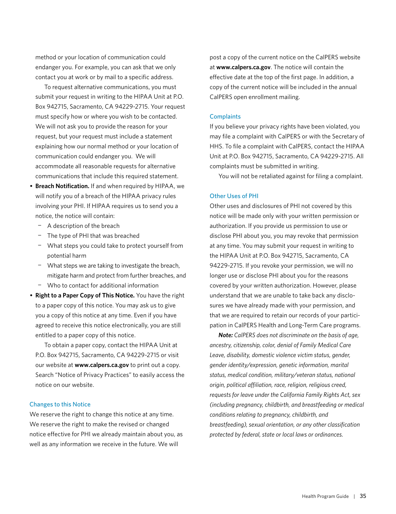method or your location of communication could endanger you. For example, you can ask that we only contact you at work or by mail to a specific address.

To request alternative communications, you must submit your request in writing to the HIPAA Unit at P.O. Box 942715, Sacramento, CA 94229-2715. Your request must specify how or where you wish to be contacted. We will not ask you to provide the reason for your request, but your request must include a statement explaining how our normal method or your location of communication could endanger you. We will accommodate all reasonable requests for alternative communications that include this required statement.

- **Breach Notification.** If and when required by HIPAA, we will notify you of a breach of the HIPAA privacy rules involving your PHI. If HIPAA requires us to send you a notice, the notice will contain:
	- − A description of the breach
	- − The type of PHI that was breached
	- − What steps you could take to protect yourself from potential harm
	- − What steps we are taking to investigate the breach, mitigate harm and protect from further breaches, and
	- − Who to contact for additional information
- **Right to a Paper Copy of This Notice.** You have the right to a paper copy of this notice. You may ask us to give you a copy of this notice at any time. Even if you have agreed to receive this notice electronically, you are still entitled to a paper copy of this notice.

To obtain a paper copy, contact the HIPAA Unit at P.O. Box 942715, Sacramento, CA 94229-2715 or visit our website at **[www.calpers.ca.gov](http://www.calpers.ca.gov)** to print out a copy. Search "Notice of Privacy Practices" to easily access the notice on our website.

#### Changes to this Notice

We reserve the right to change this notice at any time. We reserve the right to make the revised or changed notice effective for PHI we already maintain about you, as well as any information we receive in the future. We will

post a copy of the current notice on the CalPERS website at **www.calpers.ca.gov**. The notice will contain the effective date at the top of the first page. In addition, a copy of the current notice will be included in the annual CalPERS open enrollment mailing.

#### **Complaints**

If you believe your privacy rights have been violated, you may file a complaint with CalPERS or with the Secretary of HHS. To file a complaint with CalPERS, contact the HIPAA Unit at P.O. Box 942715, Sacramento, CA 94229-2715. All complaints must be submitted in writing.

You will not be retaliated against for filing a complaint.

#### Other Uses of PHI

Other uses and disclosures of PHI not covered by this notice will be made only with your written permission or authorization. If you provide us permission to use or disclose PHI about you, you may revoke that permission at any time. You may submit your request in writing to the HIPAA Unit at P.O. Box 942715, Sacramento, CA 94229-2715. If you revoke your permission, we will no longer use or disclose PHI about you for the reasons covered by your written authorization. However, please understand that we are unable to take back any disclosures we have already made with your permission, and that we are required to retain our records of your participation in CalPERS Health and Long-Term Care programs.

*Note: CalPERS does not discriminate on the basis of age, ancestry, citizenship, color, denial of Family Medical Care Leave, disability, domestic violence victim status, gender, gender identity/expression, genetic information, marital status, medical condition, military/veteran status, national origin, political affiliation, race, religion, religious creed, requests for leave under the California Family Rights Act, sex (including pregnancy, childbirth, and breastfeeding or medical conditions relating to pregnancy, childbirth, and breastfeeding), sexual orientation, or any other classification protected by federal, state or local laws or ordinances.*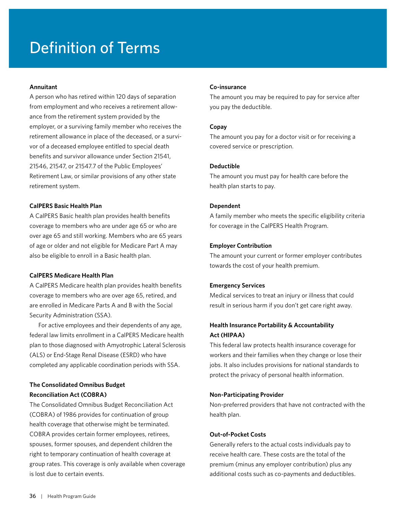# <span id="page-37-0"></span>Definition of Terms

#### **Annuitant**

A person who has retired within 120 days of separation from employment and who receives a retirement allowance from the retirement system provided by the employer, or a surviving family member who receives the retirement allowance in place of the deceased, or a survivor of a deceased employee entitled to special death benefits and survivor allowance under Section 21541, 21546, 21547, or 21547.7 of the Public Employees' Retirement Law, or similar provisions of any other state retirement system.

#### **CalPERS Basic Health Plan**

A CalPERS Basic health plan provides health benefits coverage to members who are under age 65 or who are over age 65 and still working. Members who are 65 years of age or older and not eligible for Medicare Part A may also be eligible to enroll in a Basic health plan.

#### **CalPERS Medicare Health Plan**

A CalPERS Medicare health plan provides health benefits coverage to members who are over age 65, retired, and are enrolled in Medicare Parts A and B with the Social Security Administration (SSA).

For active employees and their dependents of any age, federal law limits enrollment in a CalPERS Medicare health plan to those diagnosed with Amyotrophic Lateral Sclerosis (ALS) or End-Stage Renal Disease (ESRD) who have completed any applicable coordination periods with SSA.

## **The Consolidated Omnibus Budget Reconciliation Act (COBRA)**

The Consolidated Omnibus Budget Reconciliation Act (COBRA) of 1986 provides for continuation of group health coverage that otherwise might be terminated. COBRA provides certain former employees, retirees, spouses, former spouses, and dependent children the right to temporary continuation of health coverage at group rates. This coverage is only available when coverage is lost due to certain events.

#### **Co-insurance**

The amount you may be required to pay for service after you pay the deductible.

#### **Copay**

The amount you pay for a doctor visit or for receiving a covered service or prescription.

#### **Deductible**

The amount you must pay for health care before the health plan starts to pay.

#### **Dependent**

A family member who meets the specific eligibility criteria for coverage in the CalPERS Health Program.

#### **Employer Contribution**

The amount your current or former employer contributes towards the cost of your health premium.

### **Emergency Services**

Medical services to treat an injury or illness that could result in serious harm if you don't get care right away.

## **Health Insurance Portability & Accountability Act (HIPAA)**

This federal law protects health insurance coverage for workers and their families when they change or lose their jobs. It also includes provisions for national standards to protect the privacy of personal health information.

#### **Non-Participating Provider**

Non-preferred providers that have not contracted with the health plan.

### **Out-of-Pocket Costs**

Generally refers to the actual costs individuals pay to receive health care. These costs are the total of the premium (minus any employer contribution) plus any additional costs such as co-payments and deductibles.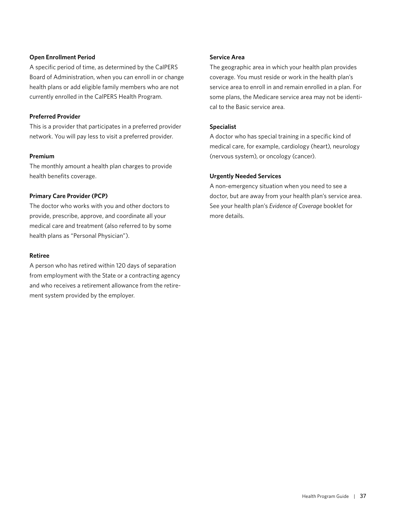### **Open Enrollment Period**

A specific period of time, as determined by the CalPERS Board of Administration, when you can enroll in or change health plans or add eligible family members who are not currently enrolled in the CalPERS Health Program.

### **Preferred Provider**

This is a provider that participates in a preferred provider network. You will pay less to visit a preferred provider.

### **Premium**

The monthly amount a health plan charges to provide health benefits coverage.

## **Primary Care Provider (PCP)**

The doctor who works with you and other doctors to provide, prescribe, approve, and coordinate all your medical care and treatment (also referred to by some health plans as "Personal Physician").

### **Retiree**

A person who has retired within 120 days of separation from employment with the State or a contracting agency and who receives a retirement allowance from the retirement system provided by the employer.

## **Service Area**

The geographic area in which your health plan provides coverage. You must reside or work in the health plan's service area to enroll in and remain enrolled in a plan. For some plans, the Medicare service area may not be identical to the Basic service area.

## **Specialist**

A doctor who has special training in a specific kind of medical care, for example, cardiology (heart), neurology (nervous system), or oncology (cancer).

## **Urgently Needed Services**

A non-emergency situation when you need to see a doctor, but are away from your health plan's service area. See your health plan's *Evidence of Coverage* booklet for more details.